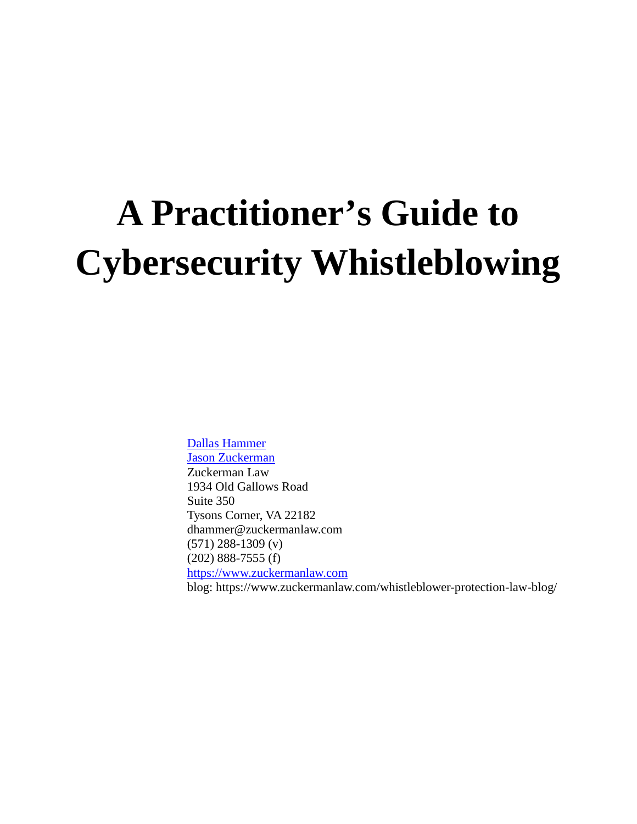# **A Practitioner's Guide to Cybersecurity Whistleblowing**

Dallas Hammer Jason Zuckerman Zuckerman Law 1934 Old Gallows Road Suite 350 Tysons Corner, VA 22182 dhammer@zuckermanlaw.com (571) 288-1309 (v) (202) 888-7555 (f) https://www.zuckermanlaw.com blog: https://www.zuckermanlaw.com/whistleblower-protection-law-blog/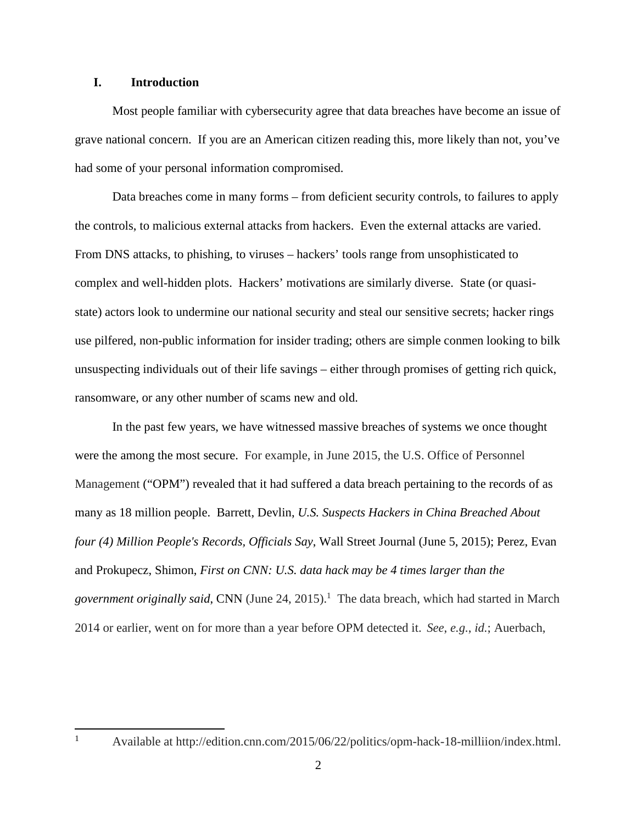#### **I. Introduction**

Most people familiar with cybersecurity agree that data breaches have become an issue of grave national concern. If you are an American citizen reading this, more likely than not, you've had some of your personal information compromised.

Data breaches come in many forms – from deficient security controls, to failures to apply the controls, to malicious external attacks from hackers. Even the external attacks are varied. From DNS attacks, to phishing, to viruses – hackers' tools range from unsophisticated to complex and well-hidden plots. Hackers' motivations are similarly diverse. State (or quasistate) actors look to undermine our national security and steal our sensitive secrets; hacker rings use pilfered, non-public information for insider trading; others are simple conmen looking to bilk unsuspecting individuals out of their life savings – either through promises of getting rich quick, ransomware, or any other number of scams new and old.

In the past few years, we have witnessed massive breaches of systems we once thought were the among the most secure. For example, in June 2015, the U.S. Office of Personnel Management ("OPM") revealed that it had suffered a data breach pertaining to the records of as many as 18 million people. Barrett, Devlin, *U.S. Suspects Hackers in China Breached About four (4) Million People's Records, Officials Say*, Wall Street Journal (June 5, 2015); Perez, Evan and Prokupecz, Shimon, *First on CNN: U.S. data hack may be 4 times larger than the*  government originally said, CNN (June 24, 2015).<sup>1</sup> The data breach, which had started in March 2014 or earlier, went on for more than a year before OPM detected it. *See*, *e.g.*, *id.*; Auerbach,

<sup>&</sup>lt;sup>1</sup> Available at http://edition.cnn.com/2015/06/22/politics/opm-hack-18-milliion/index.html.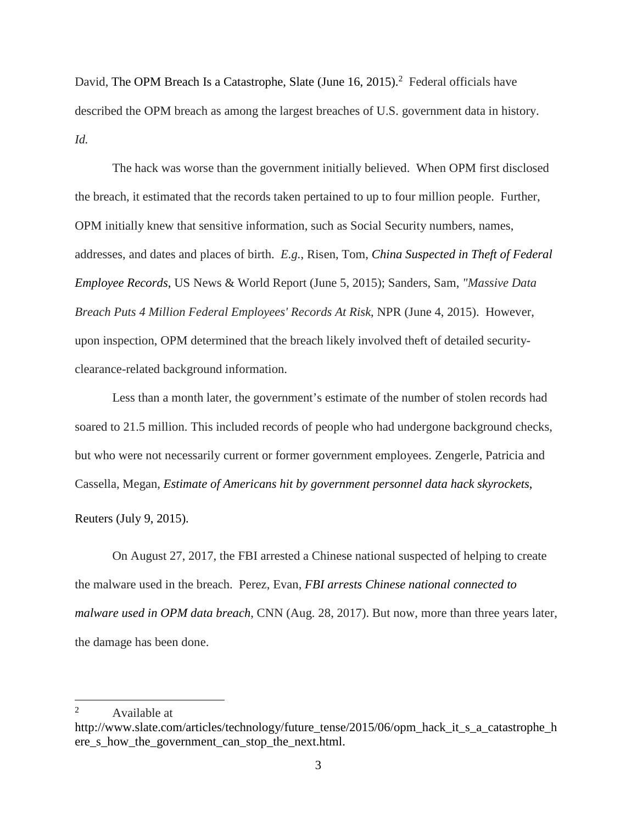David, The OPM Breach Is a Catastrophe, Slate (June  $16, 2015$ ).<sup>2</sup> Federal officials have described the OPM breach as among the largest breaches of U.S. government data in history. *Id.*

The hack was worse than the government initially believed. When OPM first disclosed the breach, it estimated that the records taken pertained to up to four million people. Further, OPM initially knew that sensitive information, such as Social Security numbers, names, addresses, and dates and places of birth. *E.g.*, Risen, Tom, *China Suspected in Theft of Federal Employee Records*, US News & World Report (June 5, 2015); Sanders, Sam, *"Massive Data Breach Puts 4 Million Federal Employees' Records At Risk*, NPR (June 4, 2015). However, upon inspection, OPM determined that the breach likely involved theft of detailed securityclearance-related background information.

Less than a month later, the government's estimate of the number of stolen records had soared to 21.5 million. This included records of people who had undergone background checks, but who were not necessarily current or former government employees. Zengerle, Patricia and Cassella, Megan, *Estimate of Americans hit by government personnel data hack skyrockets*,

Reuters (July 9, 2015).

On August 27, 2017, the FBI arrested a Chinese national suspected of helping to create the malware used in the breach. Perez, Evan, *FBI arrests Chinese national connected to malware used in OPM data breach*, CNN (Aug. 28, 2017). But now, more than three years later, the damage has been done.

<sup>&</sup>lt;sup>2</sup> Available at

http://www.slate.com/articles/technology/future\_tense/2015/06/opm\_hack\_it\_s\_a\_catastrophe\_h ere\_s\_how\_the\_government\_can\_stop\_the\_next.html.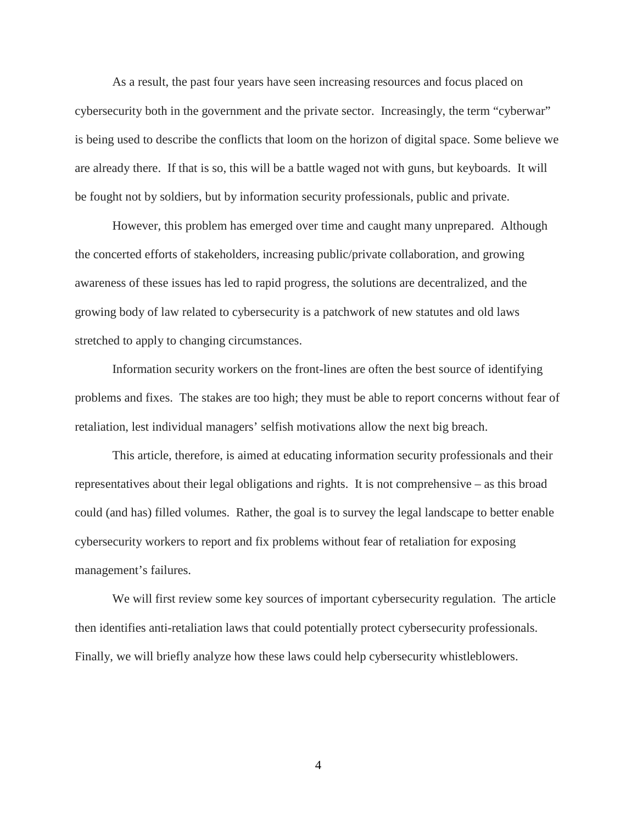As a result, the past four years have seen increasing resources and focus placed on cybersecurity both in the government and the private sector. Increasingly, the term "cyberwar" is being used to describe the conflicts that loom on the horizon of digital space. Some believe we are already there. If that is so, this will be a battle waged not with guns, but keyboards. It will be fought not by soldiers, but by information security professionals, public and private.

However, this problem has emerged over time and caught many unprepared. Although the concerted efforts of stakeholders, increasing public/private collaboration, and growing awareness of these issues has led to rapid progress, the solutions are decentralized, and the growing body of law related to cybersecurity is a patchwork of new statutes and old laws stretched to apply to changing circumstances.

Information security workers on the front-lines are often the best source of identifying problems and fixes. The stakes are too high; they must be able to report concerns without fear of retaliation, lest individual managers' selfish motivations allow the next big breach.

This article, therefore, is aimed at educating information security professionals and their representatives about their legal obligations and rights. It is not comprehensive – as this broad could (and has) filled volumes. Rather, the goal is to survey the legal landscape to better enable cybersecurity workers to report and fix problems without fear of retaliation for exposing management's failures.

We will first review some key sources of important cybersecurity regulation. The article then identifies anti-retaliation laws that could potentially protect cybersecurity professionals. Finally, we will briefly analyze how these laws could help cybersecurity whistleblowers.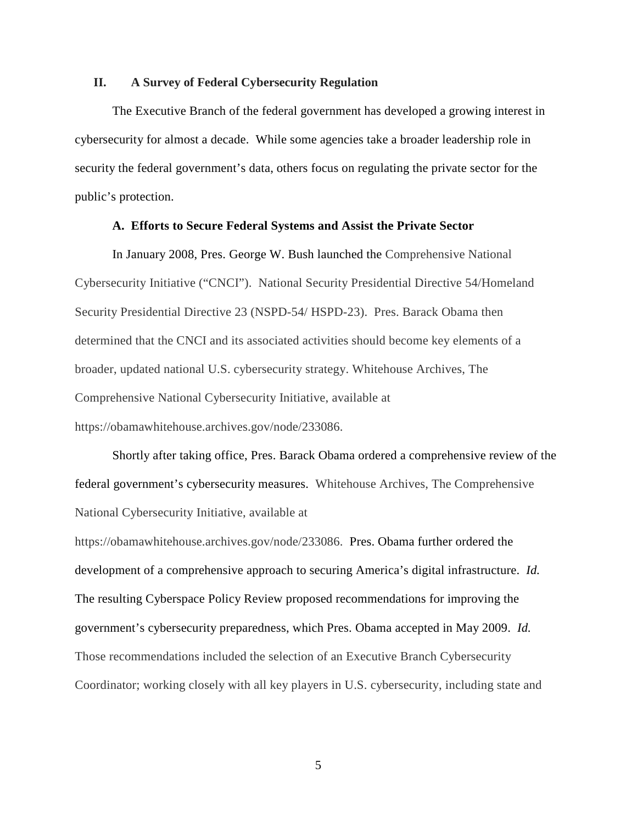#### **II. A Survey of Federal Cybersecurity Regulation**

The Executive Branch of the federal government has developed a growing interest in cybersecurity for almost a decade. While some agencies take a broader leadership role in security the federal government's data, others focus on regulating the private sector for the public's protection.

#### **A. Efforts to Secure Federal Systems and Assist the Private Sector**

In January 2008, Pres. George W. Bush launched the Comprehensive National Cybersecurity Initiative ("CNCI"). National Security Presidential Directive 54/Homeland Security Presidential Directive 23 (NSPD-54/ HSPD-23). Pres. Barack Obama then determined that the CNCI and its associated activities should become key elements of a broader, updated national U.S. cybersecurity strategy. Whitehouse Archives, The Comprehensive National Cybersecurity Initiative, available at https://obamawhitehouse.archives.gov/node/233086.

Shortly after taking office, Pres. Barack Obama ordered a comprehensive review of the federal government's cybersecurity measures. Whitehouse Archives, The Comprehensive National Cybersecurity Initiative, available at

https://obamawhitehouse.archives.gov/node/233086. Pres. Obama further ordered the development of a comprehensive approach to securing America's digital infrastructure. *Id.*  The resulting Cyberspace Policy Review proposed recommendations for improving the government's cybersecurity preparedness, which Pres. Obama accepted in May 2009. *Id.*  Those recommendations included the selection of an Executive Branch Cybersecurity Coordinator; working closely with all key players in U.S. cybersecurity, including state and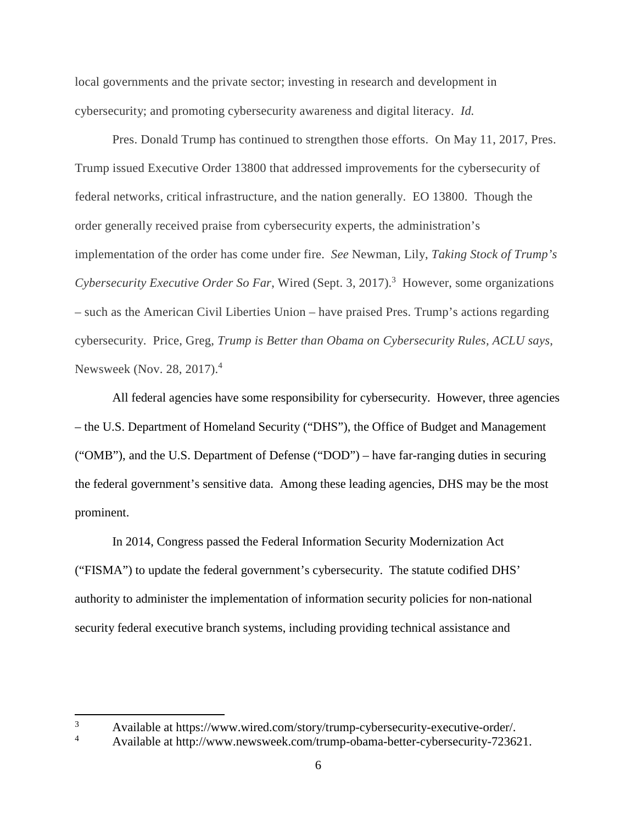local governments and the private sector; investing in research and development in cybersecurity; and promoting cybersecurity awareness and digital literacy. *Id.* 

Pres. Donald Trump has continued to strengthen those efforts. On May 11, 2017, Pres. Trump issued Executive Order 13800 that addressed improvements for the cybersecurity of federal networks, critical infrastructure, and the nation generally. EO 13800. Though the order generally received praise from cybersecurity experts, the administration's implementation of the order has come under fire. *See* Newman, Lily, *Taking Stock of Trump's*  Cybersecurity Executive Order So Far, Wired (Sept. 3, 2017).<sup>3</sup> However, some organizations – such as the American Civil Liberties Union – have praised Pres. Trump's actions regarding cybersecurity. Price, Greg, *Trump is Better than Obama on Cybersecurity Rules, ACLU says*, Newsweek (Nov. 28, 2017).<sup>4</sup>

All federal agencies have some responsibility for cybersecurity. However, three agencies – the U.S. Department of Homeland Security ("DHS"), the Office of Budget and Management ("OMB"), and the U.S. Department of Defense ("DOD") – have far-ranging duties in securing the federal government's sensitive data. Among these leading agencies, DHS may be the most prominent.

In 2014, Congress passed the Federal Information Security Modernization Act ("FISMA") to update the federal government's cybersecurity. The statute codified DHS' authority to administer the implementation of information security policies for non-national security federal executive branch systems, including providing technical assistance and

 $3$  Available at https://www.wired.com/story/trump-cybersecurity-executive-order/.<br>Available at http://www.powsweek.com/trump-ebene better.experience/2236

<sup>4</sup> Available at http://www.newsweek.com/trump-obama-better-cybersecurity-723621.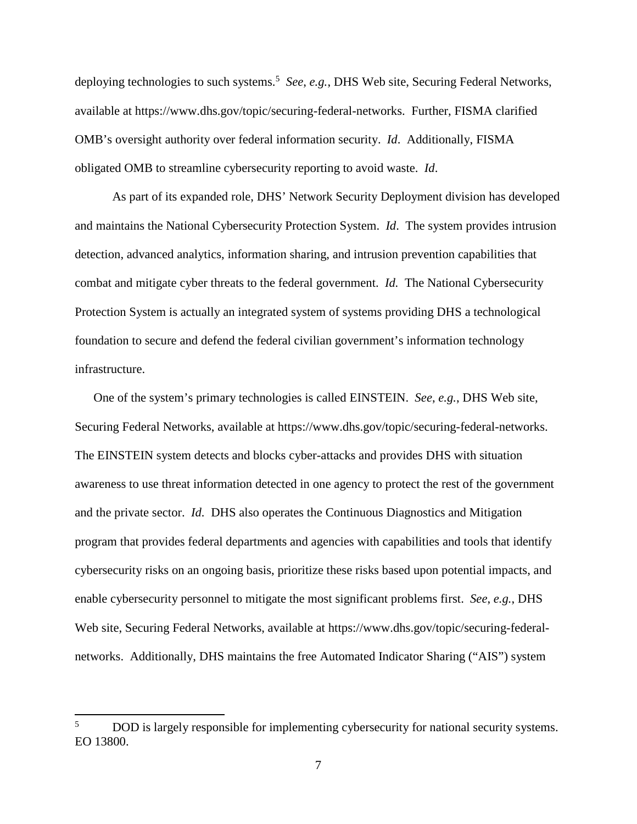deploying technologies to such systems.<sup>5</sup> *See*, *e.g.*, DHS Web site, Securing Federal Networks, available at https://www.dhs.gov/topic/securing-federal-networks. Further, FISMA clarified OMB's oversight authority over federal information security. *Id*. Additionally, FISMA obligated OMB to streamline cybersecurity reporting to avoid waste. *Id*.

 As part of its expanded role, DHS' Network Security Deployment division has developed and maintains the National Cybersecurity Protection System. *Id*. The system provides intrusion detection, advanced analytics, information sharing, and intrusion prevention capabilities that combat and mitigate cyber threats to the federal government. *Id.* The National Cybersecurity Protection System is actually an integrated system of systems providing DHS a technological foundation to secure and defend the federal civilian government's information technology infrastructure.

One of the system's primary technologies is called EINSTEIN. *See*, *e.g.*, DHS Web site, Securing Federal Networks, available at https://www.dhs.gov/topic/securing-federal-networks. The EINSTEIN system detects and blocks cyber-attacks and provides DHS with situation awareness to use threat information detected in one agency to protect the rest of the government and the private sector. *Id.* DHS also operates the Continuous Diagnostics and Mitigation program that provides federal departments and agencies with capabilities and tools that identify cybersecurity risks on an ongoing basis, prioritize these risks based upon potential impacts, and enable cybersecurity personnel to mitigate the most significant problems first. *See*, *e.g.*, DHS Web site, Securing Federal Networks, available at https://www.dhs.gov/topic/securing-federalnetworks. Additionally, DHS maintains the free Automated Indicator Sharing ("AIS") system

<sup>&</sup>lt;sup>5</sup> DOD is largely responsible for implementing cybersecurity for national security systems. EO 13800.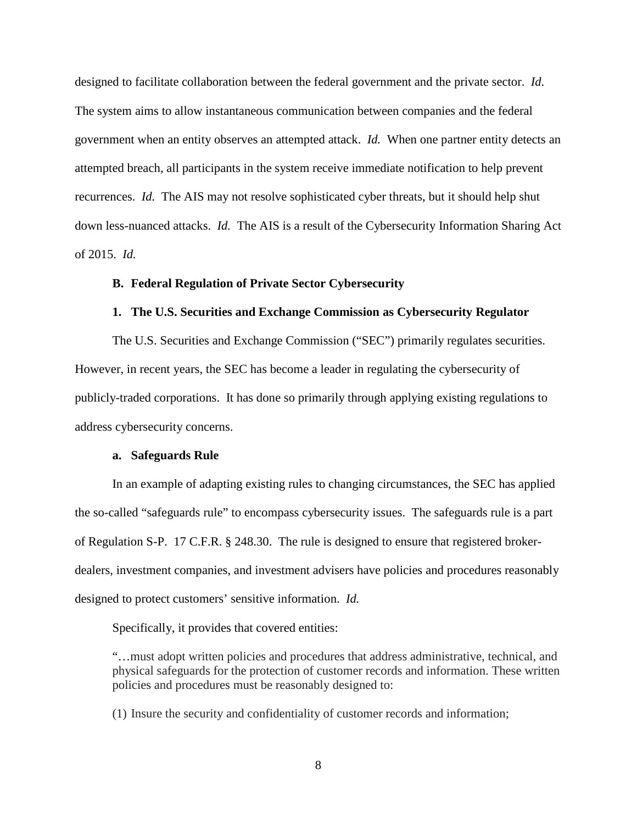designed to facilitate collaboration between the federal government and the private sector. *Id*. The system aims to allow instantaneous communication between companies and the federal government when an entity observes an attempted attack. *Id.* When one partner entity detects an attempted breach, all participants in the system receive immediate notification to help prevent recurrences. *Id.* The AIS may not resolve sophisticated cyber threats, but it should help shut down less-nuanced attacks. *Id.* The AIS is a result of the Cybersecurity Information Sharing Act of 2015. *Id.*

#### **B. Federal Regulation of Private Sector Cybersecurity**

#### **1. The U.S. Securities and Exchange Commission as Cybersecurity Regulator**

The U.S. Securities and Exchange Commission ("SEC") primarily regulates securities. However, in recent years, the SEC has become a leader in regulating the cybersecurity of publicly-traded corporations. It has done so primarily through applying existing regulations to address cybersecurity concerns.

#### **a. Safeguards Rule**

In an example of adapting existing rules to changing circumstances, the SEC has applied the so-called "safeguards rule" to encompass cybersecurity issues. The safeguards rule is a part of Regulation S-P. 17 C.F.R. § 248.30. The rule is designed to ensure that registered brokerdealers, investment companies, and investment advisers have policies and procedures reasonably designed to protect customers' sensitive information. *Id.* 

Specifically, it provides that covered entities:

"…must adopt written policies and procedures that address administrative, technical, and physical safeguards for the protection of customer records and information. These written policies and procedures must be reasonably designed to:

(1) Insure the security and confidentiality of customer records and information;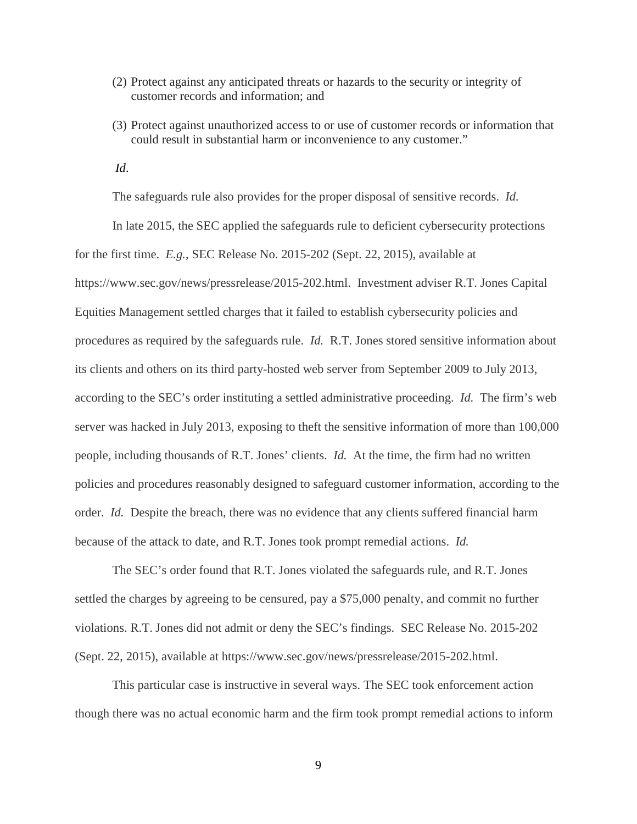- (2) Protect against any anticipated threats or hazards to the security or integrity of customer records and information; and
- (3) Protect against unauthorized access to or use of customer records or information that could result in substantial harm or inconvenience to any customer."
- *Id*.

The safeguards rule also provides for the proper disposal of sensitive records. *Id.* 

In late 2015, the SEC applied the safeguards rule to deficient cybersecurity protections for the first time. *E.g.*, SEC Release No. 2015-202 (Sept. 22, 2015), available at https://www.sec.gov/news/pressrelease/2015-202.html. Investment adviser R.T. Jones Capital Equities Management settled charges that it failed to establish cybersecurity policies and procedures as required by the safeguards rule. *Id.* R.T. Jones stored sensitive information about its clients and others on its third party-hosted web server from September 2009 to July 2013, according to the SEC's order instituting a settled administrative proceeding. *Id.* The firm's web server was hacked in July 2013, exposing to theft the sensitive information of more than 100,000 people, including thousands of R.T. Jones' clients. *Id.* At the time, the firm had no written policies and procedures reasonably designed to safeguard customer information, according to the order. *Id.* Despite the breach, there was no evidence that any clients suffered financial harm because of the attack to date, and R.T. Jones took prompt remedial actions. *Id.* 

The SEC's order found that R.T. Jones violated the safeguards rule, and R.T. Jones settled the charges by agreeing to be censured, pay a \$75,000 penalty, and commit no further violations. R.T. Jones did not admit or deny the SEC's findings. SEC Release No. 2015-202 (Sept. 22, 2015), available at https://www.sec.gov/news/pressrelease/2015-202.html.

This particular case is instructive in several ways. The SEC took enforcement action though there was no actual economic harm and the firm took prompt remedial actions to inform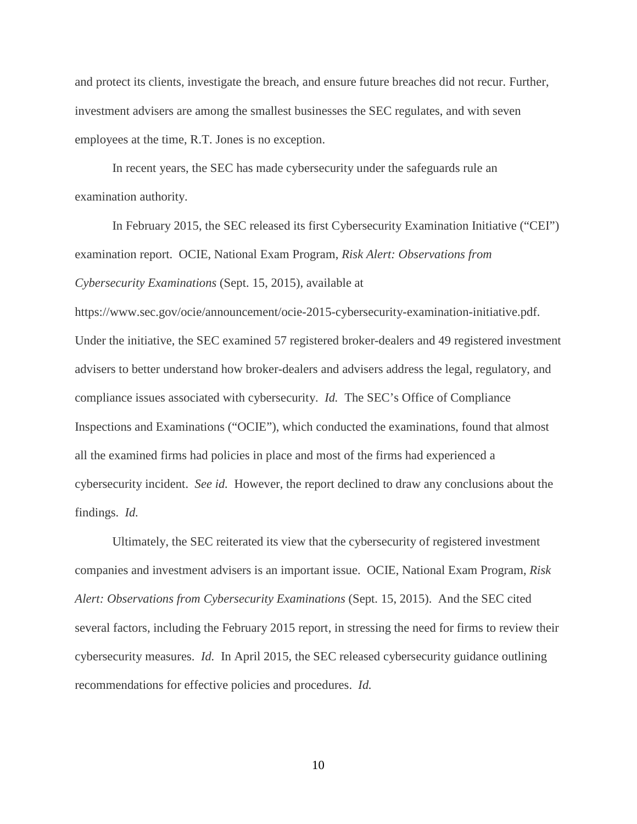and protect its clients, investigate the breach, and ensure future breaches did not recur. Further, investment advisers are among the smallest businesses the SEC regulates, and with seven employees at the time, R.T. Jones is no exception.

In recent years, the SEC has made cybersecurity under the safeguards rule an examination authority.

In February 2015, the SEC released its first Cybersecurity Examination Initiative ("CEI") examination report. OCIE, National Exam Program, *Risk Alert: Observations from Cybersecurity Examinations* (Sept. 15, 2015)*,* available at

https://www.sec.gov/ocie/announcement/ocie-2015-cybersecurity-examination-initiative.pdf. Under the initiative, the SEC examined 57 registered broker-dealers and 49 registered investment advisers to better understand how broker-dealers and advisers address the legal, regulatory, and compliance issues associated with cybersecurity. *Id.* The SEC's Office of Compliance Inspections and Examinations ("OCIE"), which conducted the examinations, found that almost all the examined firms had policies in place and most of the firms had experienced a cybersecurity incident. *See id.* However, the report declined to draw any conclusions about the findings. *Id.* 

Ultimately, the SEC reiterated its view that the cybersecurity of registered investment companies and investment advisers is an important issue. OCIE, National Exam Program, *Risk Alert: Observations from Cybersecurity Examinations* (Sept. 15, 2015). And the SEC cited several factors, including the February 2015 report, in stressing the need for firms to review their cybersecurity measures. *Id.* In April 2015, the SEC released cybersecurity guidance outlining recommendations for effective policies and procedures. *Id.*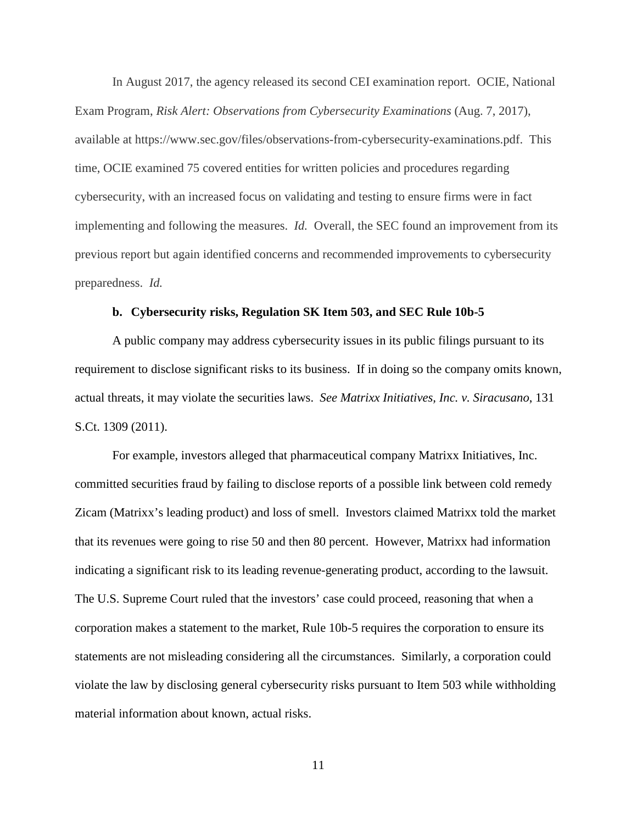In August 2017, the agency released its second CEI examination report. OCIE, National Exam Program, *Risk Alert: Observations from Cybersecurity Examinations* (Aug. 7, 2017), available at https://www.sec.gov/files/observations-from-cybersecurity-examinations.pdf. This time, OCIE examined 75 covered entities for written policies and procedures regarding cybersecurity, with an increased focus on validating and testing to ensure firms were in fact implementing and following the measures. *Id.* Overall, the SEC found an improvement from its previous report but again identified concerns and recommended improvements to cybersecurity preparedness. *Id.* 

#### **b. Cybersecurity risks, Regulation SK Item 503, and SEC Rule 10b-5**

A public company may address cybersecurity issues in its public filings pursuant to its requirement to disclose significant risks to its business. If in doing so the company omits known, actual threats, it may violate the securities laws. *See Matrixx Initiatives, Inc. v. Siracusano*, 131 S.Ct. 1309 (2011).

For example, investors alleged that pharmaceutical company Matrixx Initiatives, Inc. committed securities fraud by failing to disclose reports of a possible link between cold remedy Zicam (Matrixx's leading product) and loss of smell. Investors claimed Matrixx told the market that its revenues were going to rise 50 and then 80 percent. However, Matrixx had information indicating a significant risk to its leading revenue-generating product, according to the lawsuit. The U.S. Supreme Court ruled that the investors' case could proceed, reasoning that when a corporation makes a statement to the market, Rule 10b-5 requires the corporation to ensure its statements are not misleading considering all the circumstances. Similarly, a corporation could violate the law by disclosing general cybersecurity risks pursuant to Item 503 while withholding material information about known, actual risks.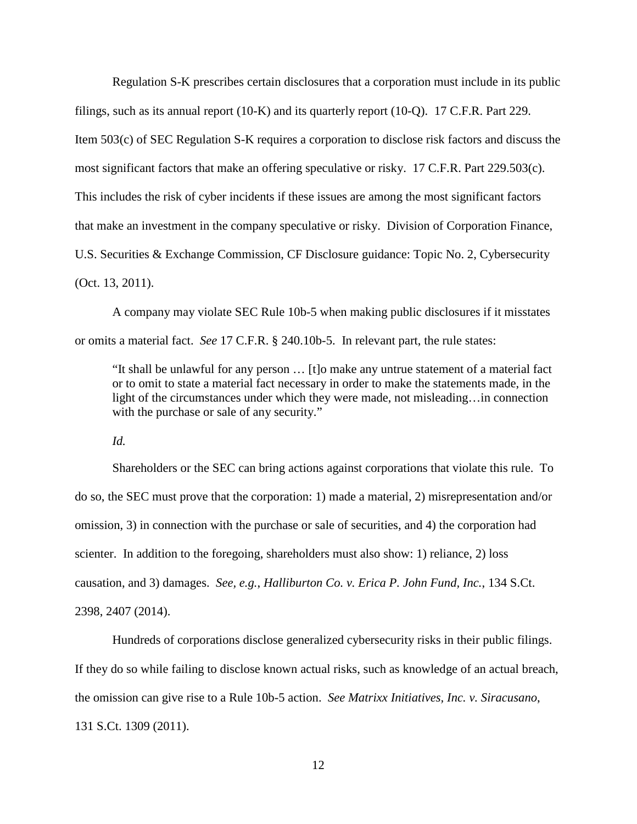Regulation S-K prescribes certain disclosures that a corporation must include in its public filings, such as its annual report (10-K) and its quarterly report (10-Q). 17 C.F.R. Part 229. Item 503(c) of SEC Regulation S-K requires a corporation to disclose risk factors and discuss the most significant factors that make an offering speculative or risky. 17 C.F.R. Part 229.503(c). This includes the risk of cyber incidents if these issues are among the most significant factors that make an investment in the company speculative or risky. Division of Corporation Finance, U.S. Securities & Exchange Commission, CF Disclosure guidance: Topic No. 2, Cybersecurity (Oct. 13, 2011).

A company may violate SEC Rule 10b-5 when making public disclosures if it misstates or omits a material fact. *See* 17 C.F.R. § 240.10b-5. In relevant part, the rule states:

"It shall be unlawful for any person … [t]o make any untrue statement of a material fact or to omit to state a material fact necessary in order to make the statements made, in the light of the circumstances under which they were made, not misleading…in connection with the purchase or sale of any security."

*Id.* 

Shareholders or the SEC can bring actions against corporations that violate this rule. To do so, the SEC must prove that the corporation: 1) made a material, 2) misrepresentation and/or omission, 3) in connection with the purchase or sale of securities, and 4) the corporation had scienter. In addition to the foregoing, shareholders must also show: 1) reliance, 2) loss causation, and 3) damages. *See, e.g.*, *Halliburton Co. v. Erica P. John Fund, Inc.*, 134 S.Ct. 2398, 2407 (2014).

Hundreds of corporations disclose generalized cybersecurity risks in their public filings. If they do so while failing to disclose known actual risks, such as knowledge of an actual breach, the omission can give rise to a Rule 10b-5 action. *See Matrixx Initiatives, Inc. v. Siracusano*, 131 S.Ct. 1309 (2011).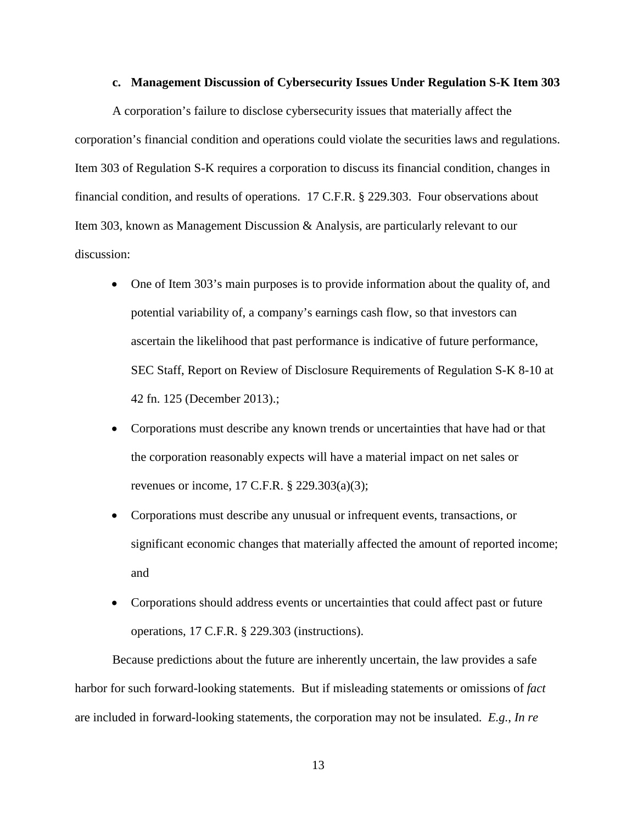#### **c. Management Discussion of Cybersecurity Issues Under Regulation S-K Item 303**

A corporation's failure to disclose cybersecurity issues that materially affect the corporation's financial condition and operations could violate the securities laws and regulations. Item 303 of Regulation S-K requires a corporation to discuss its financial condition, changes in financial condition, and results of operations. 17 C.F.R. § 229.303. Four observations about Item 303, known as Management Discussion & Analysis, are particularly relevant to our discussion:

- One of Item 303's main purposes is to provide information about the quality of, and potential variability of, a company's earnings cash flow, so that investors can ascertain the likelihood that past performance is indicative of future performance, SEC Staff, Report on Review of Disclosure Requirements of Regulation S-K 8-10 at 42 fn. 125 (December 2013).;
- Corporations must describe any known trends or uncertainties that have had or that the corporation reasonably expects will have a material impact on net sales or revenues or income, 17 C.F.R. § 229.303(a)(3);
- Corporations must describe any unusual or infrequent events, transactions, or significant economic changes that materially affected the amount of reported income; and
- Corporations should address events or uncertainties that could affect past or future operations, 17 C.F.R. § 229.303 (instructions).

Because predictions about the future are inherently uncertain, the law provides a safe harbor for such forward-looking statements. But if misleading statements or omissions of *fact* are included in forward-looking statements, the corporation may not be insulated. *E.g.*, *In re*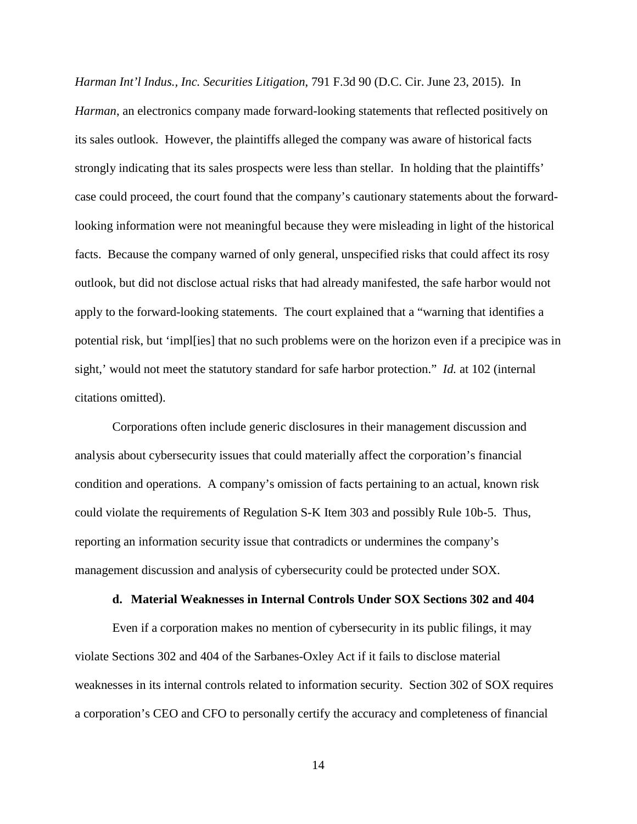*Harman Int'l Indus., Inc. Securities Litigation*, 791 F.3d 90 (D.C. Cir. June 23, 2015). In *Harman*, an electronics company made forward-looking statements that reflected positively on its sales outlook. However, the plaintiffs alleged the company was aware of historical facts strongly indicating that its sales prospects were less than stellar. In holding that the plaintiffs' case could proceed, the court found that the company's cautionary statements about the forwardlooking information were not meaningful because they were misleading in light of the historical facts. Because the company warned of only general, unspecified risks that could affect its rosy outlook, but did not disclose actual risks that had already manifested, the safe harbor would not apply to the forward-looking statements. The court explained that a "warning that identifies a potential risk, but 'impl[ies] that no such problems were on the horizon even if a precipice was in sight,' would not meet the statutory standard for safe harbor protection." *Id.* at 102 (internal citations omitted).

Corporations often include generic disclosures in their management discussion and analysis about cybersecurity issues that could materially affect the corporation's financial condition and operations. A company's omission of facts pertaining to an actual, known risk could violate the requirements of Regulation S-K Item 303 and possibly Rule 10b-5. Thus, reporting an information security issue that contradicts or undermines the company's management discussion and analysis of cybersecurity could be protected under SOX.

#### **d. Material Weaknesses in Internal Controls Under SOX Sections 302 and 404**

Even if a corporation makes no mention of cybersecurity in its public filings, it may violate Sections 302 and 404 of the Sarbanes-Oxley Act if it fails to disclose material weaknesses in its internal controls related to information security. Section 302 of SOX requires a corporation's CEO and CFO to personally certify the accuracy and completeness of financial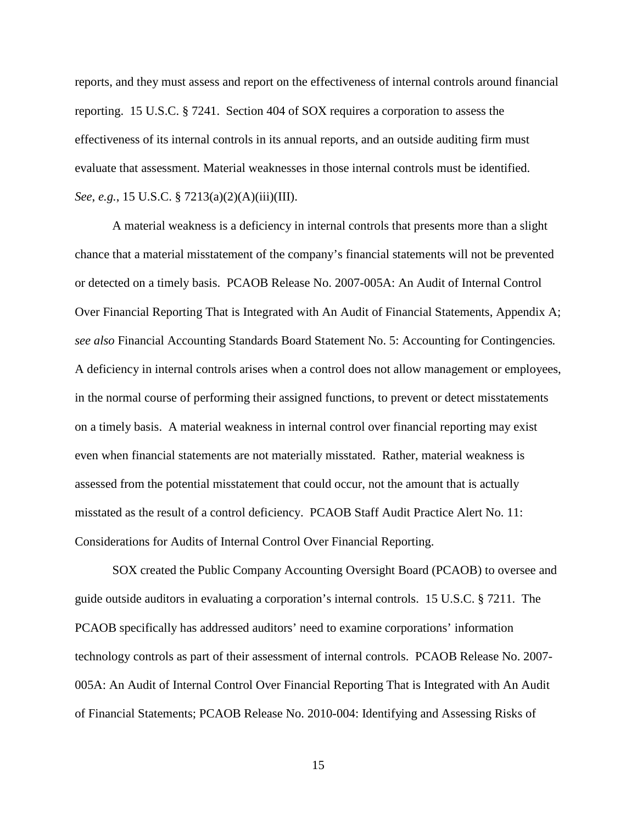reports, and they must assess and report on the effectiveness of internal controls around financial reporting. 15 U.S.C. § 7241. Section 404 of SOX requires a corporation to assess the effectiveness of its internal controls in its annual reports, and an outside auditing firm must evaluate that assessment. Material weaknesses in those internal controls must be identified. *See*, *e.g.*, 15 U.S.C. § 7213(a)(2)(A)(iii)(III).

A material weakness is a deficiency in internal controls that presents more than a slight chance that a material misstatement of the company's financial statements will not be prevented or detected on a timely basis. PCAOB Release No. 2007-005A: An Audit of Internal Control Over Financial Reporting That is Integrated with An Audit of Financial Statements, Appendix A; *see also* Financial Accounting Standards Board Statement No. 5: Accounting for Contingencies*.*  A deficiency in internal controls arises when a control does not allow management or employees, in the normal course of performing their assigned functions, to prevent or detect misstatements on a timely basis. A material weakness in internal control over financial reporting may exist even when financial statements are not materially misstated. Rather, material weakness is assessed from the potential misstatement that could occur, not the amount that is actually misstated as the result of a control deficiency. PCAOB Staff Audit Practice Alert No. 11: Considerations for Audits of Internal Control Over Financial Reporting.

SOX created the Public Company Accounting Oversight Board (PCAOB) to oversee and guide outside auditors in evaluating a corporation's internal controls. 15 U.S.C. § 7211. The PCAOB specifically has addressed auditors' need to examine corporations' information technology controls as part of their assessment of internal controls. PCAOB Release No. 2007- 005A: An Audit of Internal Control Over Financial Reporting That is Integrated with An Audit of Financial Statements; PCAOB Release No. 2010-004: Identifying and Assessing Risks of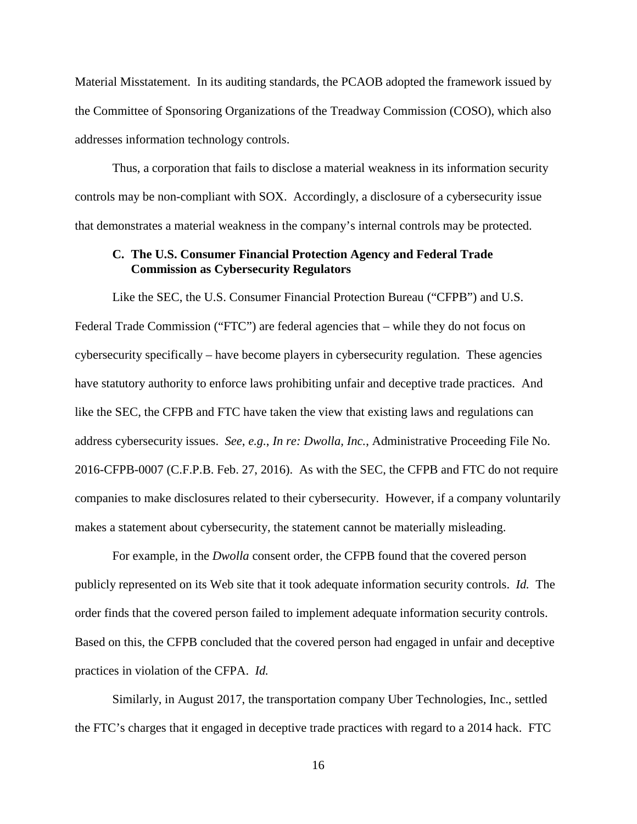Material Misstatement. In its auditing standards, the PCAOB adopted the framework issued by the Committee of Sponsoring Organizations of the Treadway Commission (COSO), which also addresses information technology controls.

Thus, a corporation that fails to disclose a material weakness in its information security controls may be non-compliant with SOX. Accordingly, a disclosure of a cybersecurity issue that demonstrates a material weakness in the company's internal controls may be protected.

### **C. The U.S. Consumer Financial Protection Agency and Federal Trade Commission as Cybersecurity Regulators**

Like the SEC, the U.S. Consumer Financial Protection Bureau ("CFPB") and U.S. Federal Trade Commission ("FTC") are federal agencies that – while they do not focus on cybersecurity specifically – have become players in cybersecurity regulation. These agencies have statutory authority to enforce laws prohibiting unfair and deceptive trade practices. And like the SEC, the CFPB and FTC have taken the view that existing laws and regulations can address cybersecurity issues. *See*, *e.g.*, *In re: Dwolla, Inc.*, Administrative Proceeding File No. 2016-CFPB-0007 (C.F.P.B. Feb. 27, 2016). As with the SEC, the CFPB and FTC do not require companies to make disclosures related to their cybersecurity. However, if a company voluntarily makes a statement about cybersecurity, the statement cannot be materially misleading.

For example, in the *Dwolla* consent order, the CFPB found that the covered person publicly represented on its Web site that it took adequate information security controls. *Id.* The order finds that the covered person failed to implement adequate information security controls. Based on this, the CFPB concluded that the covered person had engaged in unfair and deceptive practices in violation of the CFPA. *Id.* 

Similarly, in August 2017, the transportation company Uber Technologies, Inc., settled the FTC's charges that it engaged in deceptive trade practices with regard to a 2014 hack. FTC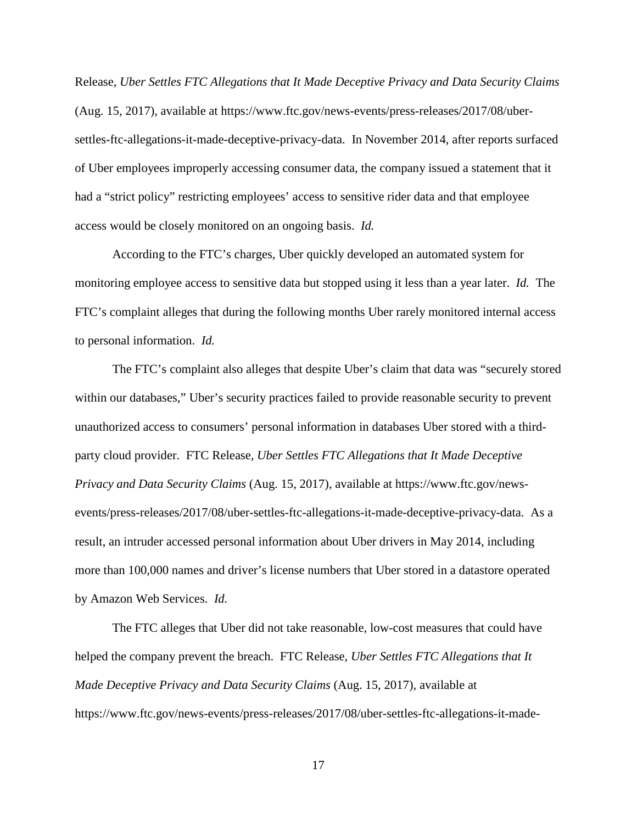Release, *Uber Settles FTC Allegations that It Made Deceptive Privacy and Data Security Claims* (Aug. 15, 2017), available at https://www.ftc.gov/news-events/press-releases/2017/08/ubersettles-ftc-allegations-it-made-deceptive-privacy-data. In November 2014, after reports surfaced of Uber employees improperly accessing consumer data, the company issued a statement that it had a "strict policy" restricting employees' access to sensitive rider data and that employee access would be closely monitored on an ongoing basis. *Id.* 

According to the FTC's charges, Uber quickly developed an automated system for monitoring employee access to sensitive data but stopped using it less than a year later. *Id.* The FTC's complaint alleges that during the following months Uber rarely monitored internal access to personal information. *Id.* 

The FTC's complaint also alleges that despite Uber's claim that data was "securely stored within our databases," Uber's security practices failed to provide reasonable security to prevent unauthorized access to consumers' personal information in databases Uber stored with a thirdparty cloud provider. FTC Release, *Uber Settles FTC Allegations that It Made Deceptive Privacy and Data Security Claims* (Aug. 15, 2017), available at https://www.ftc.gov/newsevents/press-releases/2017/08/uber-settles-ftc-allegations-it-made-deceptive-privacy-data. As a result, an intruder accessed personal information about Uber drivers in May 2014, including more than 100,000 names and driver's license numbers that Uber stored in a datastore operated by Amazon Web Services. *Id.* 

The FTC alleges that Uber did not take reasonable, low-cost measures that could have helped the company prevent the breach. FTC Release, *Uber Settles FTC Allegations that It Made Deceptive Privacy and Data Security Claims* (Aug. 15, 2017), available at https://www.ftc.gov/news-events/press-releases/2017/08/uber-settles-ftc-allegations-it-made-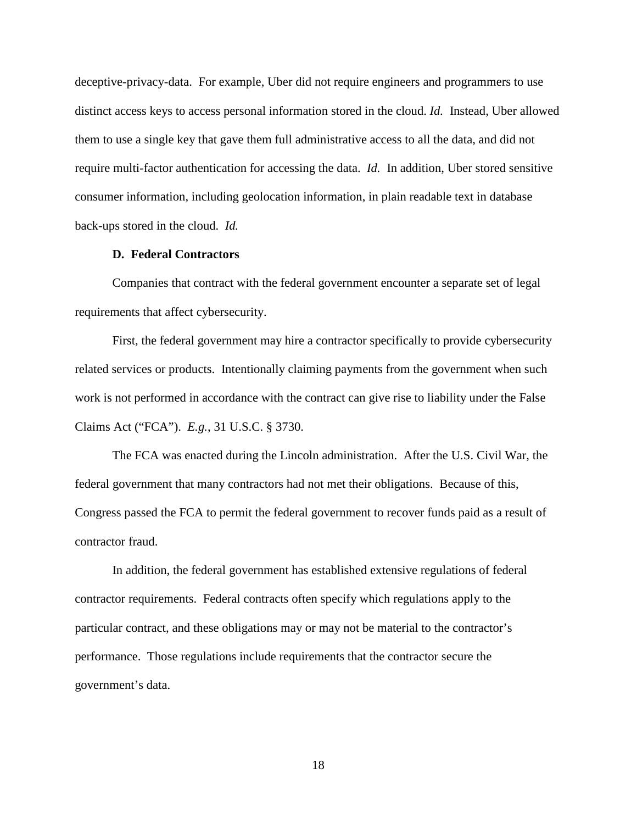deceptive-privacy-data. For example, Uber did not require engineers and programmers to use distinct access keys to access personal information stored in the cloud. *Id.* Instead, Uber allowed them to use a single key that gave them full administrative access to all the data, and did not require multi-factor authentication for accessing the data. *Id.* In addition, Uber stored sensitive consumer information, including geolocation information, in plain readable text in database back-ups stored in the cloud. *Id.* 

#### **D. Federal Contractors**

Companies that contract with the federal government encounter a separate set of legal requirements that affect cybersecurity.

First, the federal government may hire a contractor specifically to provide cybersecurity related services or products. Intentionally claiming payments from the government when such work is not performed in accordance with the contract can give rise to liability under the False Claims Act ("FCA"). *E.g.*, 31 U.S.C. § 3730.

The FCA was enacted during the Lincoln administration. After the U.S. Civil War, the federal government that many contractors had not met their obligations. Because of this, Congress passed the FCA to permit the federal government to recover funds paid as a result of contractor fraud.

In addition, the federal government has established extensive regulations of federal contractor requirements. Federal contracts often specify which regulations apply to the particular contract, and these obligations may or may not be material to the contractor's performance. Those regulations include requirements that the contractor secure the government's data.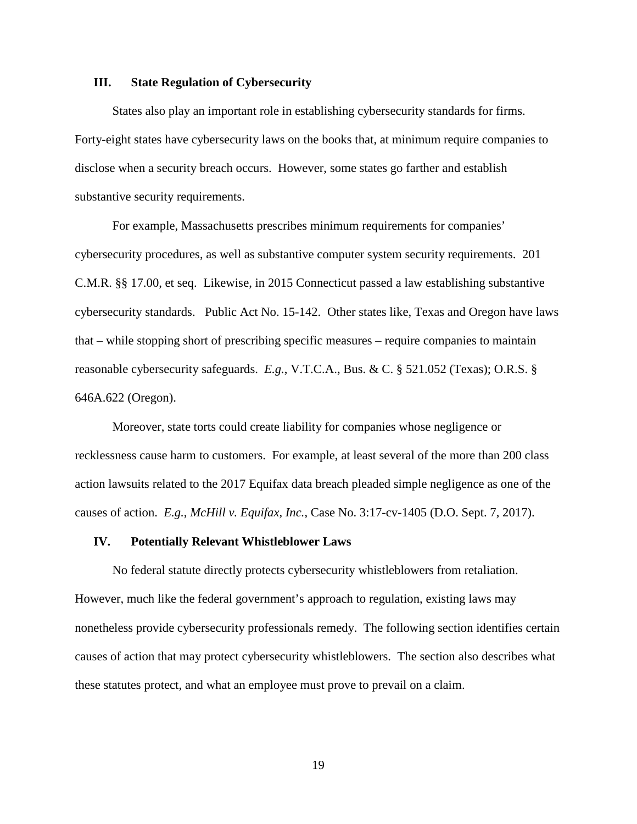#### **III. State Regulation of Cybersecurity**

States also play an important role in establishing cybersecurity standards for firms. Forty-eight states have cybersecurity laws on the books that, at minimum require companies to disclose when a security breach occurs. However, some states go farther and establish substantive security requirements.

For example, Massachusetts prescribes minimum requirements for companies' cybersecurity procedures, as well as substantive computer system security requirements. 201 C.M.R. §§ 17.00, et seq. Likewise, in 2015 Connecticut passed a law establishing substantive cybersecurity standards. Public Act No. 15-142. Other states like, Texas and Oregon have laws that – while stopping short of prescribing specific measures – require companies to maintain reasonable cybersecurity safeguards. *E.g.*, V.T.C.A., Bus. & C. § 521.052 (Texas); O.R.S. § 646A.622 (Oregon).

Moreover, state torts could create liability for companies whose negligence or recklessness cause harm to customers. For example, at least several of the more than 200 class action lawsuits related to the 2017 Equifax data breach pleaded simple negligence as one of the causes of action. *E.g.*, *McHill v. Equifax, Inc.*, Case No. 3:17-cv-1405 (D.O. Sept. 7, 2017).

#### **IV. Potentially Relevant Whistleblower Laws**

No federal statute directly protects cybersecurity whistleblowers from retaliation. However, much like the federal government's approach to regulation, existing laws may nonetheless provide cybersecurity professionals remedy. The following section identifies certain causes of action that may protect cybersecurity whistleblowers. The section also describes what these statutes protect, and what an employee must prove to prevail on a claim.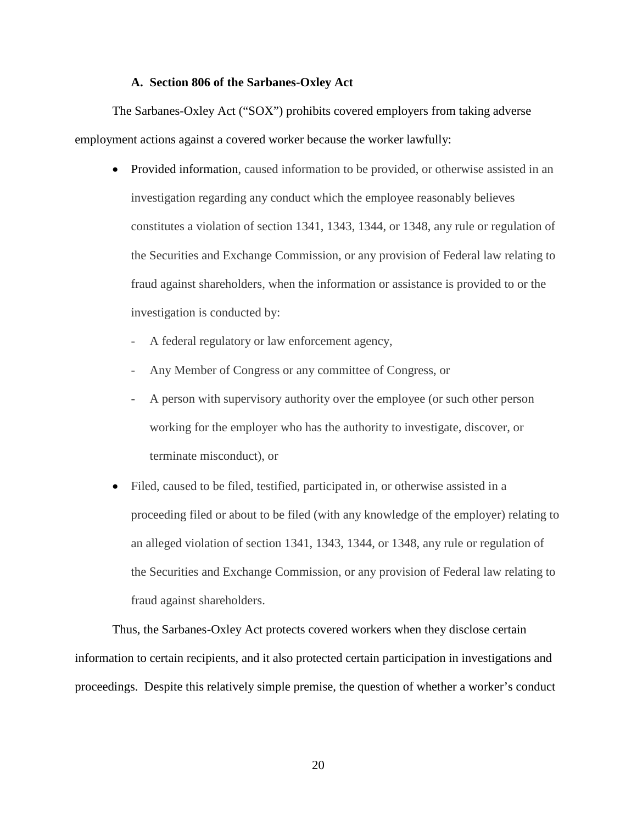#### **A. Section 806 of the Sarbanes-Oxley Act**

The Sarbanes-Oxley Act ("SOX") prohibits covered employers from taking adverse employment actions against a covered worker because the worker lawfully:

- Provided information, caused information to be provided, or otherwise assisted in an investigation regarding any conduct which the employee reasonably believes constitutes a violation of section 1341, 1343, 1344, or 1348, any rule or regulation of the Securities and Exchange Commission, or any provision of Federal law relating to fraud against shareholders, when the information or assistance is provided to or the investigation is conducted by:
	- A federal regulatory or law enforcement agency,
	- Any Member of Congress or any committee of Congress, or
	- A person with supervisory authority over the employee (or such other person working for the employer who has the authority to investigate, discover, or terminate misconduct), or
- Filed, caused to be filed, testified, participated in, or otherwise assisted in a proceeding filed or about to be filed (with any knowledge of the employer) relating to an alleged violation of section 1341, 1343, 1344, or 1348, any rule or regulation of the Securities and Exchange Commission, or any provision of Federal law relating to fraud against shareholders.

Thus, the Sarbanes-Oxley Act protects covered workers when they disclose certain information to certain recipients, and it also protected certain participation in investigations and proceedings. Despite this relatively simple premise, the question of whether a worker's conduct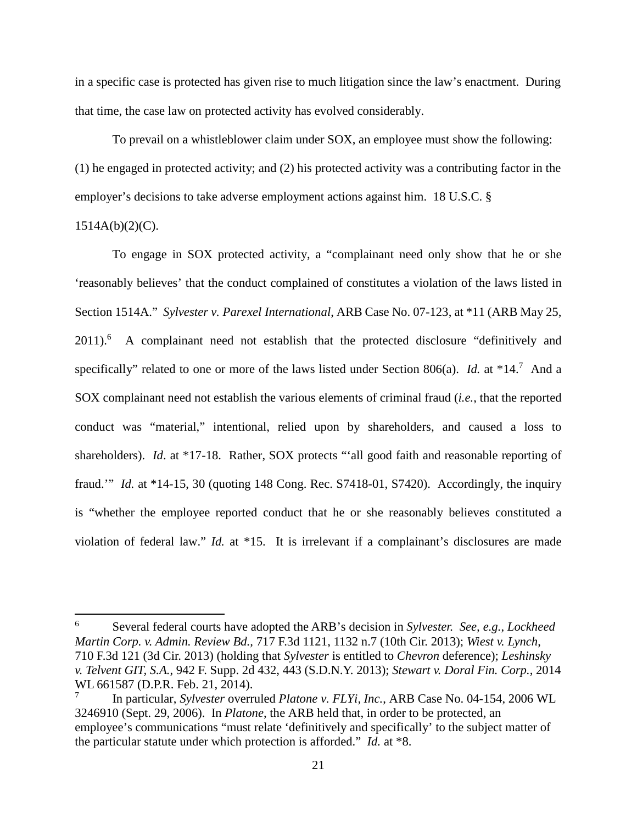in a specific case is protected has given rise to much litigation since the law's enactment. During that time, the case law on protected activity has evolved considerably.

To prevail on a whistleblower claim under SOX, an employee must show the following: (1) he engaged in protected activity; and (2) his protected activity was a contributing factor in the employer's decisions to take adverse employment actions against him. 18 U.S.C. §

## $1514A(b)(2)(C)$ .

To engage in SOX protected activity, a "complainant need only show that he or she 'reasonably believes' that the conduct complained of constitutes a violation of the laws listed in Section 1514A." *Sylvester v. Parexel International*, ARB Case No. 07-123, at \*11 (ARB May 25, 2011).<sup>6</sup> A complainant need not establish that the protected disclosure "definitively and specifically" related to one or more of the laws listed under Section 806(a). *Id.* at \*14.<sup>7</sup> And a SOX complainant need not establish the various elements of criminal fraud (*i.e.*, that the reported conduct was "material," intentional, relied upon by shareholders, and caused a loss to shareholders). *Id.* at \*17-18. Rather, SOX protects "'all good faith and reasonable reporting of fraud.'" *Id.* at \*14-15, 30 (quoting 148 Cong. Rec. S7418-01, S7420). Accordingly, the inquiry is "whether the employee reported conduct that he or she reasonably believes constituted a violation of federal law." *Id.* at \*15. It is irrelevant if a complainant's disclosures are made

<sup>6</sup> Several federal courts have adopted the ARB's decision in *Sylvester. See, e.g.*, *Lockheed Martin Corp. v. Admin. Review Bd.,* 717 F.3d 1121, 1132 n.7 (10th Cir. 2013); *Wiest v. Lynch*, 710 F.3d 121 (3d Cir. 2013) (holding that *Sylvester* is entitled to *Chevron* deference); *Leshinsky v. Telvent GIT, S.A.*, 942 F. Supp. 2d 432, 443 (S.D.N.Y. 2013); *Stewart v. Doral Fin. Corp.*, 2014 WL 661587 (D.P.R. Feb. 21, 2014).

<sup>7</sup> In particular, *Sylvester* overruled *Platone v. FLYi, Inc.*, ARB Case No. 04-154, 2006 WL 3246910 (Sept. 29, 2006). In *Platone*, the ARB held that, in order to be protected, an employee's communications "must relate 'definitively and specifically' to the subject matter of the particular statute under which protection is afforded." *Id.* at \*8.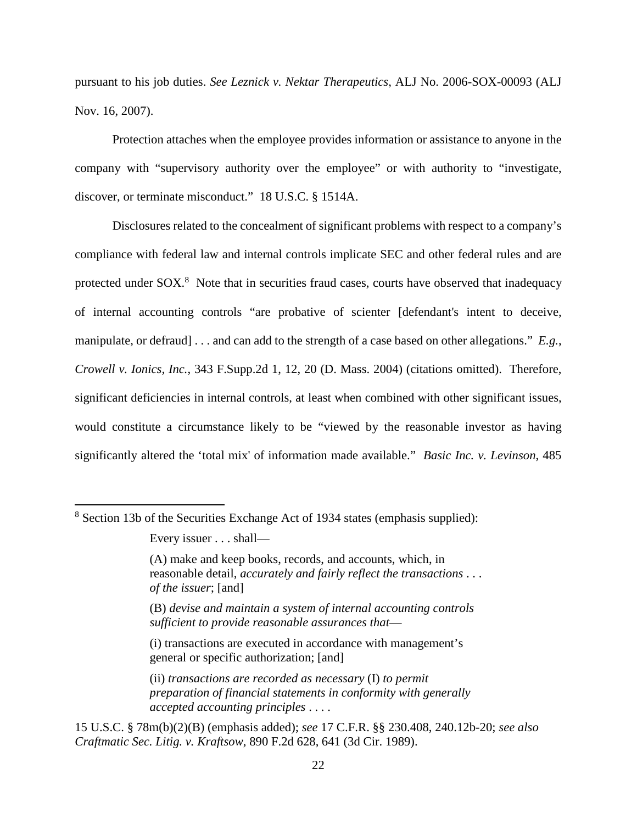pursuant to his job duties. *See Leznick v. Nektar Therapeutics*, ALJ No. 2006-SOX-00093 (ALJ Nov. 16, 2007).

Protection attaches when the employee provides information or assistance to anyone in the company with "supervisory authority over the employee" or with authority to "investigate, discover, or terminate misconduct." 18 U.S.C. § 1514A.

Disclosures related to the concealment of significant problems with respect to a company's compliance with federal law and internal controls implicate SEC and other federal rules and are protected under SOX.<sup>8</sup> Note that in securities fraud cases, courts have observed that inadequacy of internal accounting controls "are probative of scienter [defendant's intent to deceive, manipulate, or defraud] . . . and can add to the strength of a case based on other allegations." *E.g.*, *Crowell v. Ionics, Inc.*, 343 F.Supp.2d 1, 12, 20 (D. Mass. 2004) (citations omitted). Therefore, significant deficiencies in internal controls, at least when combined with other significant issues, would constitute a circumstance likely to be "viewed by the reasonable investor as having significantly altered the 'total mix' of information made available." *Basic Inc. v. Levinson*, 485

(i) transactions are executed in accordance with management's general or specific authorization; [and]

15 U.S.C. § 78m(b)(2)(B) (emphasis added); *see* 17 C.F.R. §§ 230.408, 240.12b-20; *see also Craftmatic Sec. Litig. v. Kraftsow*, 890 F.2d 628, 641 (3d Cir. 1989).

<sup>&</sup>lt;sup>8</sup> Section 13b of the Securities Exchange Act of 1934 states (emphasis supplied):

Every issuer . . . shall—

<sup>(</sup>A) make and keep books, records, and accounts, which, in reasonable detail, *accurately and fairly reflect the transactions* . . . *of the issuer*; [and]

<sup>(</sup>B) *devise and maintain a system of internal accounting controls sufficient to provide reasonable assurances that*—

<sup>(</sup>ii) *transactions are recorded as necessary* (I) *to permit preparation of financial statements in conformity with generally accepted accounting principles* . . . .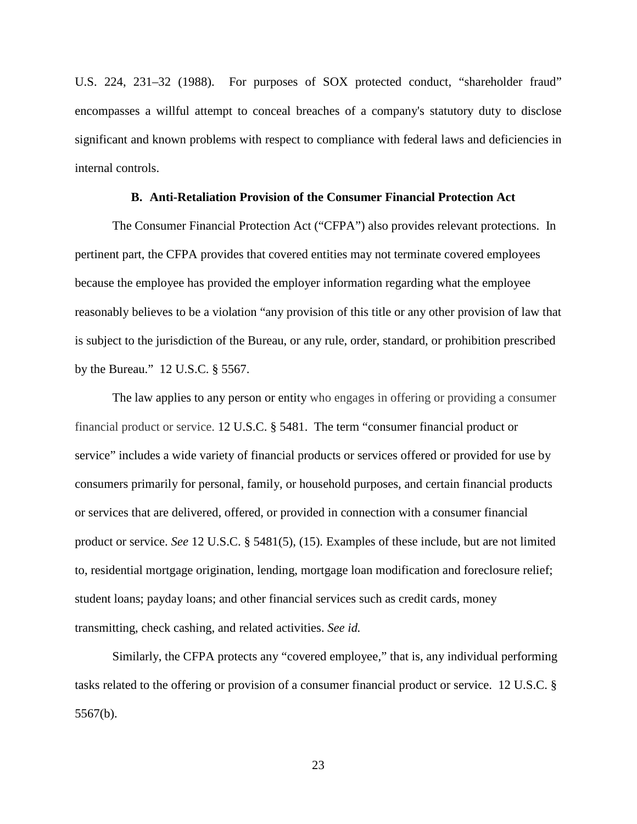U.S. 224, 231–32 (1988). For purposes of SOX protected conduct, "shareholder fraud" encompasses a willful attempt to conceal breaches of a company's statutory duty to disclose significant and known problems with respect to compliance with federal laws and deficiencies in internal controls.

#### **B. Anti-Retaliation Provision of the Consumer Financial Protection Act**

The Consumer Financial Protection Act ("CFPA") also provides relevant protections. In pertinent part, the CFPA provides that covered entities may not terminate covered employees because the employee has provided the employer information regarding what the employee reasonably believes to be a violation "any provision of this title or any other provision of law that is subject to the jurisdiction of the Bureau, or any rule, order, standard, or prohibition prescribed by the Bureau." 12 U.S.C. § 5567.

The law applies to any person or entity who engages in offering or providing a consumer financial product or service. 12 U.S.C. § 5481. The term "consumer financial product or service" includes a wide variety of financial products or services offered or provided for use by consumers primarily for personal, family, or household purposes, and certain financial products or services that are delivered, offered, or provided in connection with a consumer financial product or service. *See* 12 U.S.C. § 5481(5), (15). Examples of these include, but are not limited to, residential mortgage origination, lending, mortgage loan modification and foreclosure relief; student loans; payday loans; and other financial services such as credit cards, money transmitting, check cashing, and related activities. *See id.* 

Similarly, the CFPA protects any "covered employee," that is, any individual performing tasks related to the offering or provision of a consumer financial product or service. 12 U.S.C. § 5567(b).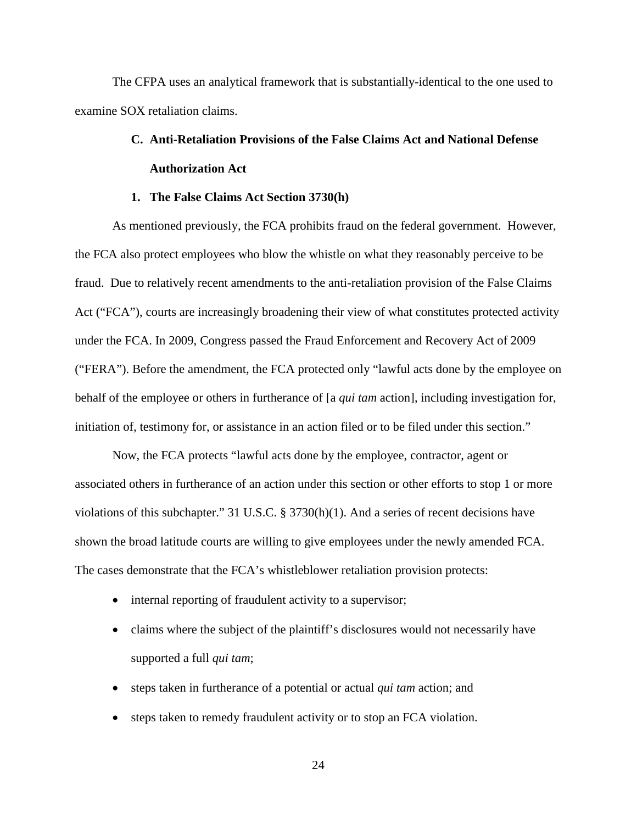The CFPA uses an analytical framework that is substantially-identical to the one used to examine SOX retaliation claims.

# **C. Anti-Retaliation Provisions of the False Claims Act and National Defense Authorization Act**

#### **1. The False Claims Act Section 3730(h)**

As mentioned previously, the FCA prohibits fraud on the federal government. However, the FCA also protect employees who blow the whistle on what they reasonably perceive to be fraud. Due to relatively recent amendments to the anti-retaliation provision of the False Claims Act ("FCA"), courts are increasingly broadening their view of what constitutes protected activity under the FCA. In 2009, Congress passed the Fraud Enforcement and Recovery Act of 2009 ("FERA"). Before the amendment, the FCA protected only "lawful acts done by the employee on behalf of the employee or others in furtherance of [a *qui tam* action], including investigation for, initiation of, testimony for, or assistance in an action filed or to be filed under this section."

Now, the FCA protects "lawful acts done by the employee, contractor, agent or associated others in furtherance of an action under this section or other efforts to stop 1 or more violations of this subchapter." 31 U.S.C. § 3730(h)(1). And a series of recent decisions have shown the broad latitude courts are willing to give employees under the newly amended FCA. The cases demonstrate that the FCA's whistleblower retaliation provision protects:

- internal reporting of fraudulent activity to a supervisor;
- claims where the subject of the plaintiff's disclosures would not necessarily have supported a full *qui tam*;
- steps taken in furtherance of a potential or actual *qui tam* action; and
- steps taken to remedy fraudulent activity or to stop an FCA violation.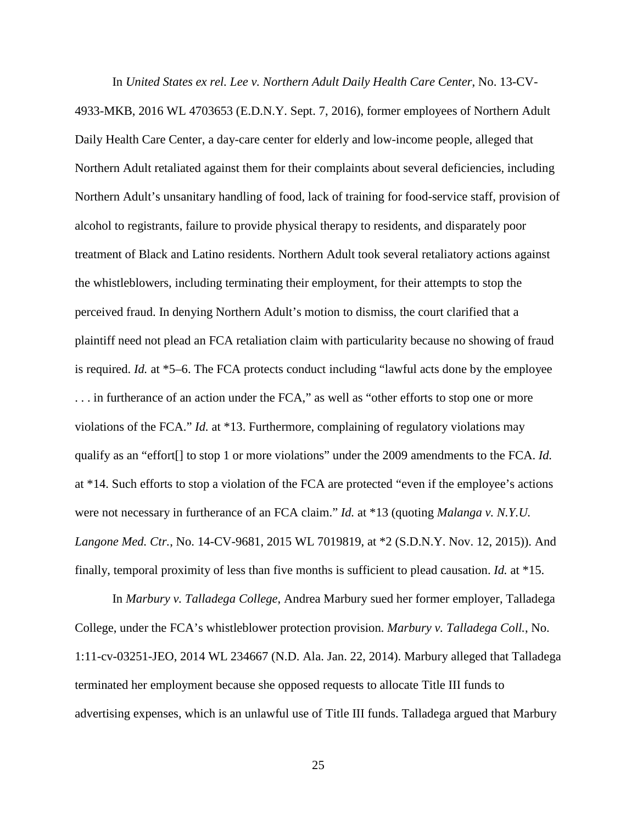In *United States ex rel. Lee v. Northern Adult Daily Health Care Center*, No. 13-CV-4933-MKB, 2016 WL 4703653 (E.D.N.Y. Sept. 7, 2016), former employees of Northern Adult Daily Health Care Center, a day-care center for elderly and low-income people, alleged that Northern Adult retaliated against them for their complaints about several deficiencies, including Northern Adult's unsanitary handling of food, lack of training for food-service staff, provision of alcohol to registrants, failure to provide physical therapy to residents, and disparately poor treatment of Black and Latino residents. Northern Adult took several retaliatory actions against the whistleblowers, including terminating their employment, for their attempts to stop the perceived fraud. In denying Northern Adult's motion to dismiss, the court clarified that a plaintiff need not plead an FCA retaliation claim with particularity because no showing of fraud is required. *Id.* at \*5–6. The FCA protects conduct including "lawful acts done by the employee . . . in furtherance of an action under the FCA," as well as "other efforts to stop one or more violations of the FCA." *Id.* at \*13. Furthermore, complaining of regulatory violations may qualify as an "effort[] to stop 1 or more violations" under the 2009 amendments to the FCA. *Id.*  at \*14. Such efforts to stop a violation of the FCA are protected "even if the employee's actions were not necessary in furtherance of an FCA claim." *Id.* at \*13 (quoting *Malanga v. N.Y.U. Langone Med. Ctr.*, No. 14-CV-9681, 2015 WL 7019819, at \*2 (S.D.N.Y. Nov. 12, 2015)). And finally, temporal proximity of less than five months is sufficient to plead causation. *Id.* at \*15.

In *Marbury v. Talladega College*, Andrea Marbury sued her former employer, Talladega College, under the FCA's whistleblower protection provision. *Marbury v. Talladega Coll.*, No. 1:11-cv-03251-JEO, 2014 WL 234667 (N.D. Ala. Jan. 22, 2014). Marbury alleged that Talladega terminated her employment because she opposed requests to allocate Title III funds to advertising expenses, which is an unlawful use of Title III funds. Talladega argued that Marbury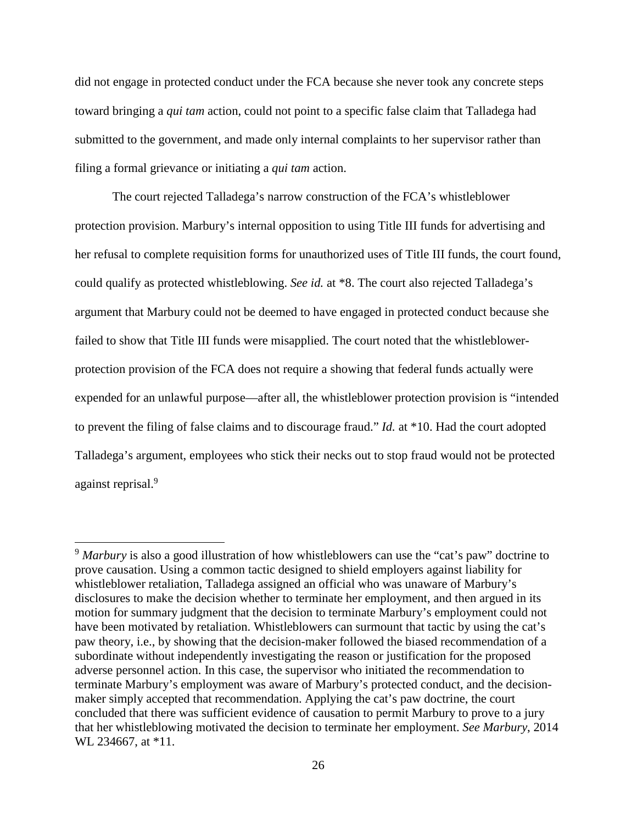did not engage in protected conduct under the FCA because she never took any concrete steps toward bringing a *qui tam* action, could not point to a specific false claim that Talladega had submitted to the government, and made only internal complaints to her supervisor rather than filing a formal grievance or initiating a *qui tam* action.

The court rejected Talladega's narrow construction of the FCA's whistleblower protection provision. Marbury's internal opposition to using Title III funds for advertising and her refusal to complete requisition forms for unauthorized uses of Title III funds, the court found, could qualify as protected whistleblowing. *See id.* at \*8. The court also rejected Talladega's argument that Marbury could not be deemed to have engaged in protected conduct because she failed to show that Title III funds were misapplied. The court noted that the whistleblowerprotection provision of the FCA does not require a showing that federal funds actually were expended for an unlawful purpose—after all, the whistleblower protection provision is "intended to prevent the filing of false claims and to discourage fraud." *Id.* at \*10. Had the court adopted Talladega's argument, employees who stick their necks out to stop fraud would not be protected against reprisal.<sup>9</sup>

<sup>&</sup>lt;sup>9</sup> Marbury is also a good illustration of how whistleblowers can use the "cat's paw" doctrine to prove causation. Using a common tactic designed to shield employers against liability for whistleblower retaliation, Talladega assigned an official who was unaware of Marbury's disclosures to make the decision whether to terminate her employment, and then argued in its motion for summary judgment that the decision to terminate Marbury's employment could not have been motivated by retaliation. Whistleblowers can surmount that tactic by using the cat's paw theory, i.e., by showing that the decision-maker followed the biased recommendation of a subordinate without independently investigating the reason or justification for the proposed adverse personnel action. In this case, the supervisor who initiated the recommendation to terminate Marbury's employment was aware of Marbury's protected conduct, and the decisionmaker simply accepted that recommendation. Applying the cat's paw doctrine, the court concluded that there was sufficient evidence of causation to permit Marbury to prove to a jury that her whistleblowing motivated the decision to terminate her employment. *See Marbury*, 2014 WL 234667, at \*11.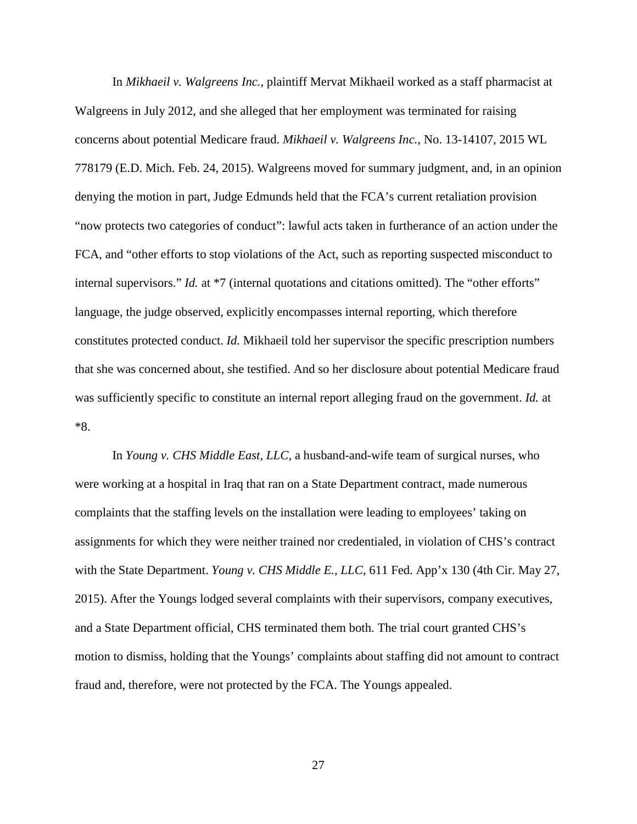In *Mikhaeil v. Walgreens Inc.*, plaintiff Mervat Mikhaeil worked as a staff pharmacist at Walgreens in July 2012, and she alleged that her employment was terminated for raising concerns about potential Medicare fraud. *Mikhaeil v. Walgreens Inc.*, No. 13-14107, 2015 WL 778179 (E.D. Mich. Feb. 24, 2015). Walgreens moved for summary judgment, and, in an opinion denying the motion in part, Judge Edmunds held that the FCA's current retaliation provision "now protects two categories of conduct": lawful acts taken in furtherance of an action under the FCA, and "other efforts to stop violations of the Act, such as reporting suspected misconduct to internal supervisors." *Id.* at \*7 (internal quotations and citations omitted). The "other efforts" language, the judge observed, explicitly encompasses internal reporting, which therefore constitutes protected conduct. *Id.* Mikhaeil told her supervisor the specific prescription numbers that she was concerned about, she testified. And so her disclosure about potential Medicare fraud was sufficiently specific to constitute an internal report alleging fraud on the government. *Id.* at \*8.

In *Young v. CHS Middle East, LLC*, a husband-and-wife team of surgical nurses, who were working at a hospital in Iraq that ran on a State Department contract, made numerous complaints that the staffing levels on the installation were leading to employees' taking on assignments for which they were neither trained nor credentialed, in violation of CHS's contract with the State Department. *Young v. CHS Middle E., LLC*, 611 Fed. App'x 130 (4th Cir. May 27, 2015). After the Youngs lodged several complaints with their supervisors, company executives, and a State Department official, CHS terminated them both. The trial court granted CHS's motion to dismiss, holding that the Youngs' complaints about staffing did not amount to contract fraud and, therefore, were not protected by the FCA. The Youngs appealed.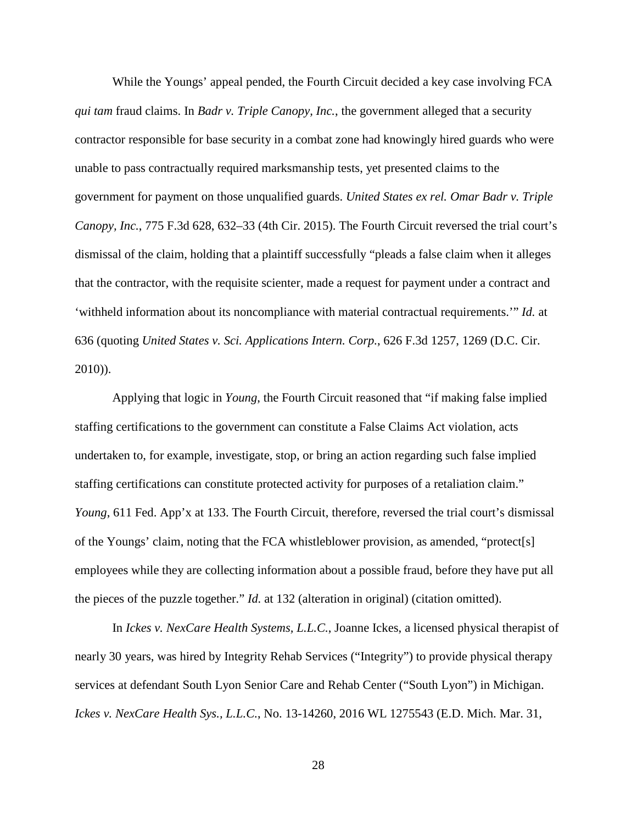While the Youngs' appeal pended, the Fourth Circuit decided a key case involving FCA *qui tam* fraud claims. In *Badr v. Triple Canopy, Inc.*, the government alleged that a security contractor responsible for base security in a combat zone had knowingly hired guards who were unable to pass contractually required marksmanship tests, yet presented claims to the government for payment on those unqualified guards. *United States ex rel. Omar Badr v. Triple Canopy, Inc.*, 775 F.3d 628, 632–33 (4th Cir. 2015). The Fourth Circuit reversed the trial court's dismissal of the claim, holding that a plaintiff successfully "pleads a false claim when it alleges that the contractor, with the requisite scienter, made a request for payment under a contract and 'withheld information about its noncompliance with material contractual requirements.'" *Id.* at 636 (quoting *United States v. Sci. Applications Intern. Corp.*, 626 F.3d 1257, 1269 (D.C. Cir. 2010)).

Applying that logic in *Young*, the Fourth Circuit reasoned that "if making false implied staffing certifications to the government can constitute a False Claims Act violation, acts undertaken to, for example, investigate, stop, or bring an action regarding such false implied staffing certifications can constitute protected activity for purposes of a retaliation claim." *Young*, 611 Fed. App'x at 133. The Fourth Circuit, therefore, reversed the trial court's dismissal of the Youngs' claim, noting that the FCA whistleblower provision, as amended, "protect[s] employees while they are collecting information about a possible fraud, before they have put all the pieces of the puzzle together." *Id.* at 132 (alteration in original) (citation omitted).

In *Ickes v. NexCare Health Systems, L.L.C.*, Joanne Ickes, a licensed physical therapist of nearly 30 years, was hired by Integrity Rehab Services ("Integrity") to provide physical therapy services at defendant South Lyon Senior Care and Rehab Center ("South Lyon") in Michigan. *Ickes v. NexCare Health Sys., L.L.C.*, No. 13-14260, 2016 WL 1275543 (E.D. Mich. Mar. 31,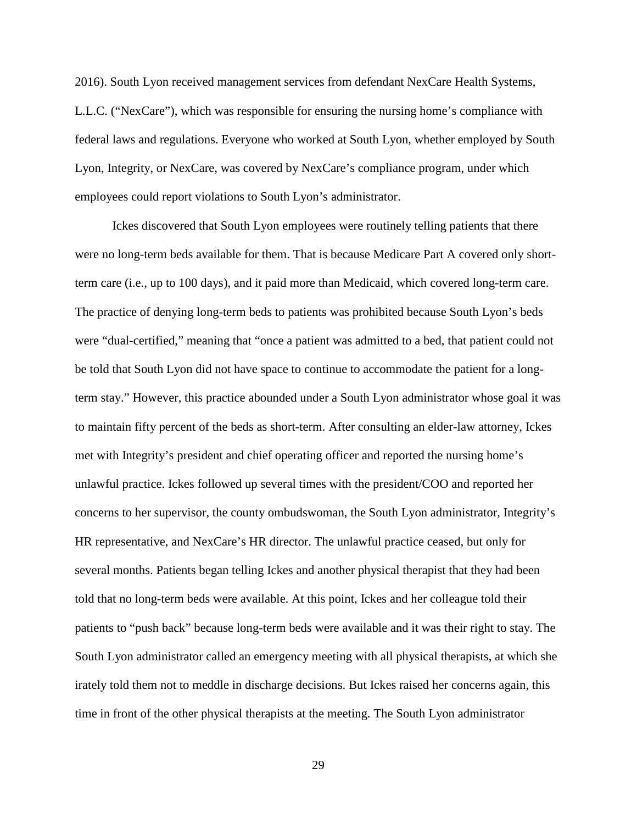2016). South Lyon received management services from defendant NexCare Health Systems, L.L.C. ("NexCare"), which was responsible for ensuring the nursing home's compliance with federal laws and regulations. Everyone who worked at South Lyon, whether employed by South Lyon, Integrity, or NexCare, was covered by NexCare's compliance program, under which employees could report violations to South Lyon's administrator.

Ickes discovered that South Lyon employees were routinely telling patients that there were no long-term beds available for them. That is because Medicare Part A covered only shortterm care (i.e., up to 100 days), and it paid more than Medicaid, which covered long-term care. The practice of denying long-term beds to patients was prohibited because South Lyon's beds were "dual-certified," meaning that "once a patient was admitted to a bed, that patient could not be told that South Lyon did not have space to continue to accommodate the patient for a longterm stay." However, this practice abounded under a South Lyon administrator whose goal it was to maintain fifty percent of the beds as short-term. After consulting an elder-law attorney, Ickes met with Integrity's president and chief operating officer and reported the nursing home's unlawful practice. Ickes followed up several times with the president/COO and reported her concerns to her supervisor, the county ombudswoman, the South Lyon administrator, Integrity's HR representative, and NexCare's HR director. The unlawful practice ceased, but only for several months. Patients began telling Ickes and another physical therapist that they had been told that no long-term beds were available. At this point, Ickes and her colleague told their patients to "push back" because long-term beds were available and it was their right to stay. The South Lyon administrator called an emergency meeting with all physical therapists, at which she irately told them not to meddle in discharge decisions. But Ickes raised her concerns again, this time in front of the other physical therapists at the meeting. The South Lyon administrator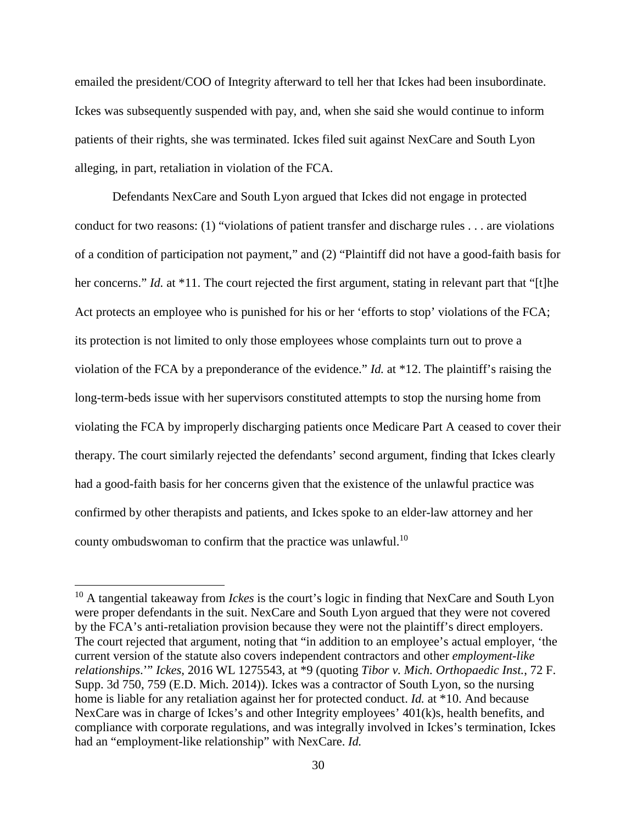emailed the president/COO of Integrity afterward to tell her that Ickes had been insubordinate. Ickes was subsequently suspended with pay, and, when she said she would continue to inform patients of their rights, she was terminated. Ickes filed suit against NexCare and South Lyon alleging, in part, retaliation in violation of the FCA.

Defendants NexCare and South Lyon argued that Ickes did not engage in protected conduct for two reasons: (1) "violations of patient transfer and discharge rules . . . are violations of a condition of participation not payment," and (2) "Plaintiff did not have a good-faith basis for her concerns." *Id.* at \*11. The court rejected the first argument, stating in relevant part that "[t]he Act protects an employee who is punished for his or her 'efforts to stop' violations of the FCA; its protection is not limited to only those employees whose complaints turn out to prove a violation of the FCA by a preponderance of the evidence." *Id.* at \*12. The plaintiff's raising the long-term-beds issue with her supervisors constituted attempts to stop the nursing home from violating the FCA by improperly discharging patients once Medicare Part A ceased to cover their therapy. The court similarly rejected the defendants' second argument, finding that Ickes clearly had a good-faith basis for her concerns given that the existence of the unlawful practice was confirmed by other therapists and patients, and Ickes spoke to an elder-law attorney and her county ombudswoman to confirm that the practice was unlawful.<sup>10</sup>

<sup>10</sup> A tangential takeaway from *Ickes* is the court's logic in finding that NexCare and South Lyon were proper defendants in the suit. NexCare and South Lyon argued that they were not covered by the FCA's anti-retaliation provision because they were not the plaintiff's direct employers. The court rejected that argument, noting that "in addition to an employee's actual employer, 'the current version of the statute also covers independent contractors and other *employment-like relationships*.'" *Ickes*, 2016 WL 1275543, at \*9 (quoting *Tibor v. Mich. Orthopaedic Inst.*, 72 F. Supp. 3d 750, 759 (E.D. Mich. 2014)). Ickes was a contractor of South Lyon, so the nursing home is liable for any retaliation against her for protected conduct. *Id.* at \*10. And because NexCare was in charge of Ickes's and other Integrity employees' 401(k)s, health benefits, and compliance with corporate regulations, and was integrally involved in Ickes's termination, Ickes had an "employment-like relationship" with NexCare. *Id.*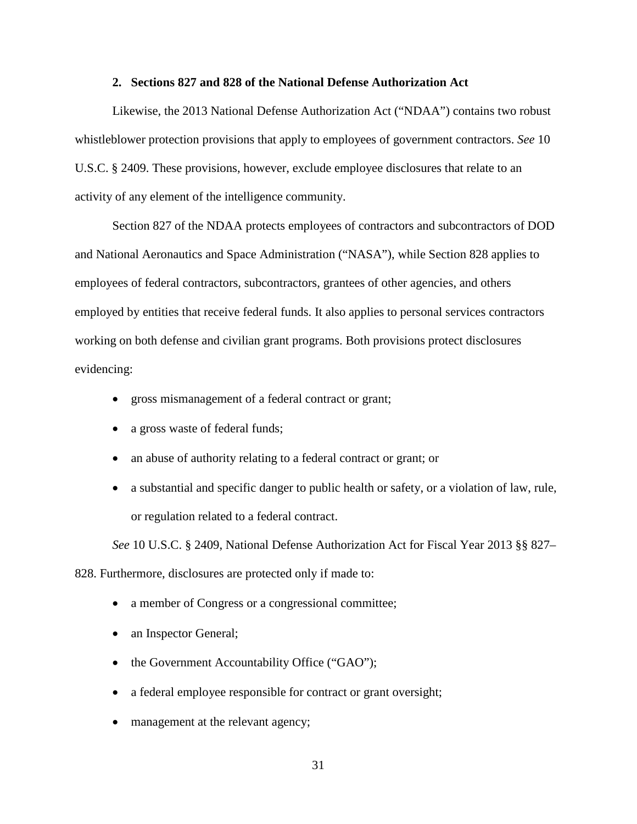#### **2. Sections 827 and 828 of the National Defense Authorization Act**

Likewise, the 2013 National Defense Authorization Act ("NDAA") contains two robust whistleblower protection provisions that apply to employees of government contractors. *See* 10 U.S.C. § 2409. These provisions, however, exclude employee disclosures that relate to an activity of any element of the intelligence community.

Section 827 of the NDAA protects employees of contractors and subcontractors of DOD and National Aeronautics and Space Administration ("NASA"), while Section 828 applies to employees of federal contractors, subcontractors, grantees of other agencies, and others employed by entities that receive federal funds. It also applies to personal services contractors working on both defense and civilian grant programs. Both provisions protect disclosures evidencing:

- gross mismanagement of a federal contract or grant;
- a gross waste of federal funds;
- an abuse of authority relating to a federal contract or grant; or
- a substantial and specific danger to public health or safety, or a violation of law, rule, or regulation related to a federal contract.

*See* 10 U.S.C. § 2409, National Defense Authorization Act for Fiscal Year 2013 §§ 827–

828. Furthermore, disclosures are protected only if made to:

- a member of Congress or a congressional committee;
- an Inspector General;
- the Government Accountability Office ("GAO");
- a federal employee responsible for contract or grant oversight;
- management at the relevant agency;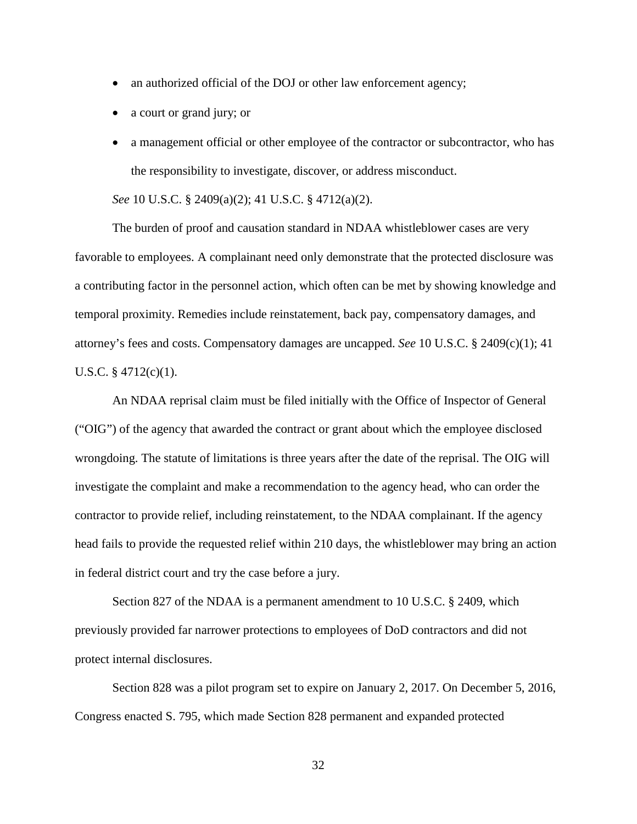- an authorized official of the DOJ or other law enforcement agency;
- a court or grand jury; or
- a management official or other employee of the contractor or subcontractor, who has the responsibility to investigate, discover, or address misconduct.

*See* 10 U.S.C. § 2409(a)(2); 41 U.S.C. § 4712(a)(2).

The burden of proof and causation standard in NDAA whistleblower cases are very favorable to employees. A complainant need only demonstrate that the protected disclosure was a contributing factor in the personnel action, which often can be met by showing knowledge and temporal proximity. Remedies include reinstatement, back pay, compensatory damages, and attorney's fees and costs. Compensatory damages are uncapped. *See* 10 U.S.C. § 2409(c)(1); 41 U.S.C. § 4712(c)(1).

An NDAA reprisal claim must be filed initially with the Office of Inspector of General ("OIG") of the agency that awarded the contract or grant about which the employee disclosed wrongdoing. The statute of limitations is three years after the date of the reprisal. The OIG will investigate the complaint and make a recommendation to the agency head, who can order the contractor to provide relief, including reinstatement, to the NDAA complainant. If the agency head fails to provide the requested relief within 210 days, the whistleblower may bring an action in federal district court and try the case before a jury.

Section 827 of the NDAA is a permanent amendment to 10 U.S.C. § 2409, which previously provided far narrower protections to employees of DoD contractors and did not protect internal disclosures.

Section 828 was a pilot program set to expire on January 2, 2017. On December 5, 2016, Congress enacted S. 795, which made Section 828 permanent and expanded protected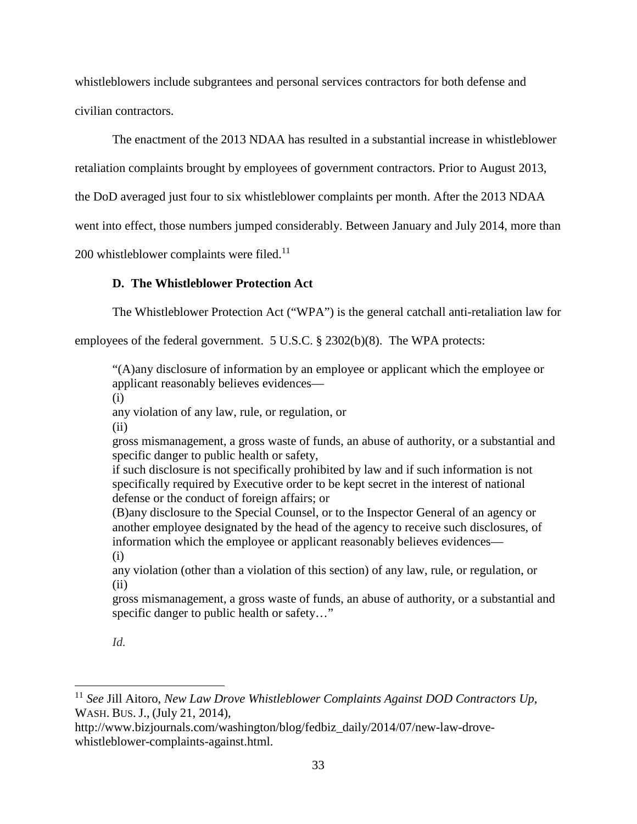whistleblowers include subgrantees and personal services contractors for both defense and civilian contractors.

The enactment of the 2013 NDAA has resulted in a substantial increase in whistleblower

retaliation complaints brought by employees of government contractors. Prior to August 2013,

the DoD averaged just four to six whistleblower complaints per month. After the 2013 NDAA

went into effect, those numbers jumped considerably. Between January and July 2014, more than

 $200$  whistleblower complaints were filed.<sup>11</sup>

# **D. The Whistleblower Protection Act**

The Whistleblower Protection Act ("WPA") is the general catchall anti-retaliation law for

employees of the federal government. 5 U.S.C. § 2302(b)(8). The WPA protects:

"(A)any disclosure of information by an employee or applicant which the employee or applicant reasonably believes evidences—

(i)

any violation of any law, rule, or regulation, or

(ii)

gross mismanagement, a gross waste of funds, an abuse of authority, or a substantial and specific danger to public health or safety,

if such disclosure is not specifically prohibited by law and if such information is not specifically required by Executive order to be kept secret in the interest of national defense or the conduct of foreign affairs; or

(B)any disclosure to the Special Counsel, or to the Inspector General of an agency or another employee designated by the head of the agency to receive such disclosures, of information which the employee or applicant reasonably believes evidences— (i)

any violation (other than a violation of this section) of any law, rule, or regulation, or (ii)

gross mismanagement, a gross waste of funds, an abuse of authority, or a substantial and specific danger to public health or safety..."

# *Id.*

<sup>11</sup> *See* Jill Aitoro, *New Law Drove Whistleblower Complaints Against DOD Contractors Up*, WASH. BUS. J., (July 21, 2014),

http://www.bizjournals.com/washington/blog/fedbiz\_daily/2014/07/new-law-drovewhistleblower-complaints-against.html.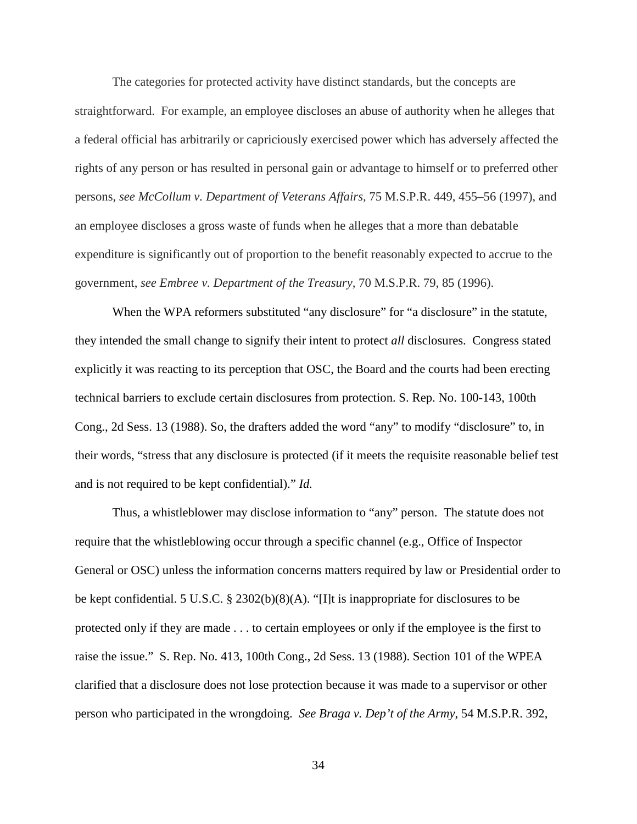The categories for protected activity have distinct standards, but the concepts are straightforward. For example, an employee discloses an abuse of authority when he alleges that a federal official has arbitrarily or capriciously exercised power which has adversely affected the rights of any person or has resulted in personal gain or advantage to himself or to preferred other persons, *see McCollum v. Department of Veterans Affairs,* 75 M.S.P.R. 449, 455–56 (1997), and an employee discloses a gross waste of funds when he alleges that a more than debatable expenditure is significantly out of proportion to the benefit reasonably expected to accrue to the government, *see Embree v. Department of the Treasury,* 70 M.S.P.R. 79, 85 (1996).

When the WPA reformers substituted "any disclosure" for "a disclosure" in the statute, they intended the small change to signify their intent to protect *all* disclosures. Congress stated explicitly it was reacting to its perception that OSC, the Board and the courts had been erecting technical barriers to exclude certain disclosures from protection. S. Rep. No. 100-143, 100th Cong., 2d Sess. 13 (1988). So, the drafters added the word "any" to modify "disclosure" to, in their words, "stress that any disclosure is protected (if it meets the requisite reasonable belief test and is not required to be kept confidential)." *Id.* 

Thus, a whistleblower may disclose information to "any" person. The statute does not require that the whistleblowing occur through a specific channel (e.g., Office of Inspector General or OSC) unless the information concerns matters required by law or Presidential order to be kept confidential. 5 U.S.C. § 2302(b)(8)(A). "[I]t is inappropriate for disclosures to be protected only if they are made . . . to certain employees or only if the employee is the first to raise the issue." S. Rep. No. 413, 100th Cong., 2d Sess. 13 (1988). Section 101 of the WPEA clarified that a disclosure does not lose protection because it was made to a supervisor or other person who participated in the wrongdoing. *See Braga v. Dep't of the Army*, 54 M.S.P.R. 392,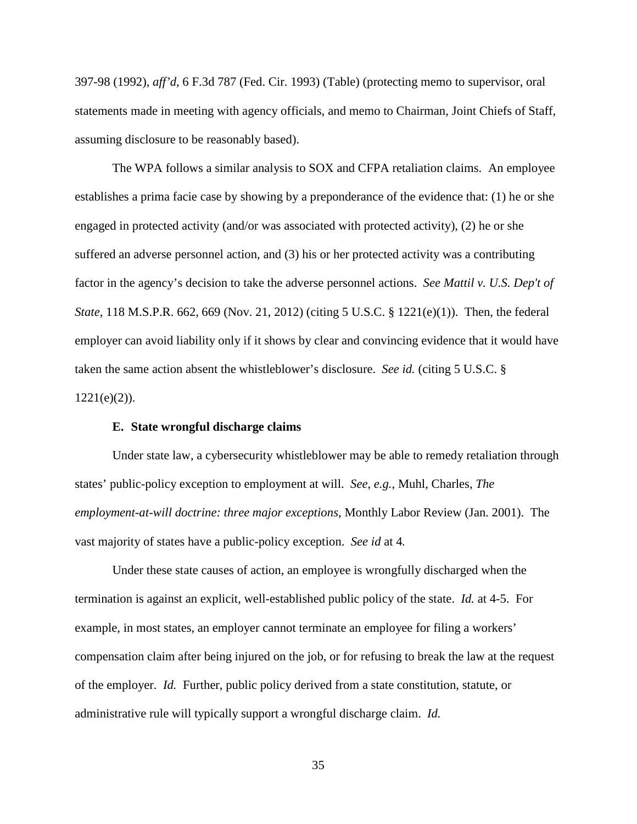397-98 (1992), *aff'd*, 6 F.3d 787 (Fed. Cir. 1993) (Table) (protecting memo to supervisor, oral statements made in meeting with agency officials, and memo to Chairman, Joint Chiefs of Staff, assuming disclosure to be reasonably based).

The WPA follows a similar analysis to SOX and CFPA retaliation claims. An employee establishes a prima facie case by showing by a preponderance of the evidence that: (1) he or she engaged in protected activity (and/or was associated with protected activity), (2) he or she suffered an adverse personnel action, and (3) his or her protected activity was a contributing factor in the agency's decision to take the adverse personnel actions. *See Mattil v. U.S. Dep't of State*, 118 M.S.P.R. 662, 669 (Nov. 21, 2012) (citing 5 U.S.C. § 1221(e)(1)). Then, the federal employer can avoid liability only if it shows by clear and convincing evidence that it would have taken the same action absent the whistleblower's disclosure. *See id.* (citing 5 U.S.C. §  $1221(e)(2)$ ).

#### **E. State wrongful discharge claims**

Under state law, a cybersecurity whistleblower may be able to remedy retaliation through states' public-policy exception to employment at will. *See*, *e.g.*, Muhl, Charles, *The employment-at-will doctrine: three major exceptions*, Monthly Labor Review (Jan. 2001). The vast majority of states have a public-policy exception. *See id* at 4*.* 

Under these state causes of action, an employee is wrongfully discharged when the termination is against an explicit, well-established public policy of the state. *Id.* at 4-5. For example, in most states, an employer cannot terminate an employee for filing a workers' compensation claim after being injured on the job, or for refusing to break the law at the request of the employer. *Id.* Further, public policy derived from a state constitution, statute, or administrative rule will typically support a wrongful discharge claim. *Id.*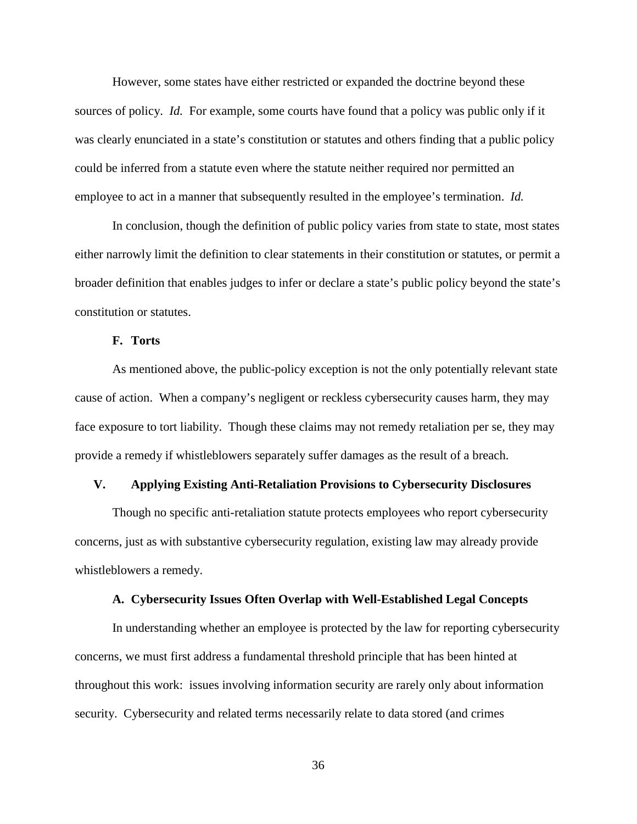However, some states have either restricted or expanded the doctrine beyond these sources of policy. *Id.* For example, some courts have found that a policy was public only if it was clearly enunciated in a state's constitution or statutes and others finding that a public policy could be inferred from a statute even where the statute neither required nor permitted an employee to act in a manner that subsequently resulted in the employee's termination. *Id.* 

In conclusion, though the definition of public policy varies from state to state, most states either narrowly limit the definition to clear statements in their constitution or statutes, or permit a broader definition that enables judges to infer or declare a state's public policy beyond the state's constitution or statutes.

#### **F. Torts**

As mentioned above, the public-policy exception is not the only potentially relevant state cause of action. When a company's negligent or reckless cybersecurity causes harm, they may face exposure to tort liability. Though these claims may not remedy retaliation per se, they may provide a remedy if whistleblowers separately suffer damages as the result of a breach.

#### **V. Applying Existing Anti-Retaliation Provisions to Cybersecurity Disclosures**

Though no specific anti-retaliation statute protects employees who report cybersecurity concerns, just as with substantive cybersecurity regulation, existing law may already provide whistleblowers a remedy.

#### **A. Cybersecurity Issues Often Overlap with Well-Established Legal Concepts**

In understanding whether an employee is protected by the law for reporting cybersecurity concerns, we must first address a fundamental threshold principle that has been hinted at throughout this work: issues involving information security are rarely only about information security. Cybersecurity and related terms necessarily relate to data stored (and crimes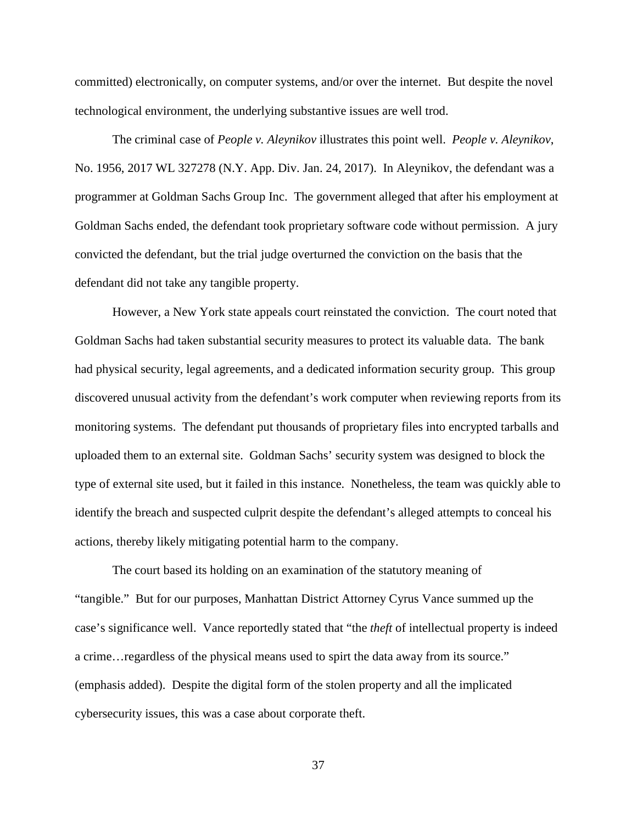committed) electronically, on computer systems, and/or over the internet. But despite the novel technological environment, the underlying substantive issues are well trod.

The criminal case of *People v. Aleynikov* illustrates this point well. *People v. Aleynikov*, No. 1956, 2017 WL 327278 (N.Y. App. Div. Jan. 24, 2017). In Aleynikov, the defendant was a programmer at Goldman Sachs Group Inc. The government alleged that after his employment at Goldman Sachs ended, the defendant took proprietary software code without permission. A jury convicted the defendant, but the trial judge overturned the conviction on the basis that the defendant did not take any tangible property.

However, a New York state appeals court reinstated the conviction. The court noted that Goldman Sachs had taken substantial security measures to protect its valuable data. The bank had physical security, legal agreements, and a dedicated information security group. This group discovered unusual activity from the defendant's work computer when reviewing reports from its monitoring systems. The defendant put thousands of proprietary files into encrypted tarballs and uploaded them to an external site. Goldman Sachs' security system was designed to block the type of external site used, but it failed in this instance. Nonetheless, the team was quickly able to identify the breach and suspected culprit despite the defendant's alleged attempts to conceal his actions, thereby likely mitigating potential harm to the company.

The court based its holding on an examination of the statutory meaning of "tangible." But for our purposes, Manhattan District Attorney Cyrus Vance summed up the case's significance well. Vance reportedly stated that "the *theft* of intellectual property is indeed a crime…regardless of the physical means used to spirt the data away from its source." (emphasis added). Despite the digital form of the stolen property and all the implicated cybersecurity issues, this was a case about corporate theft.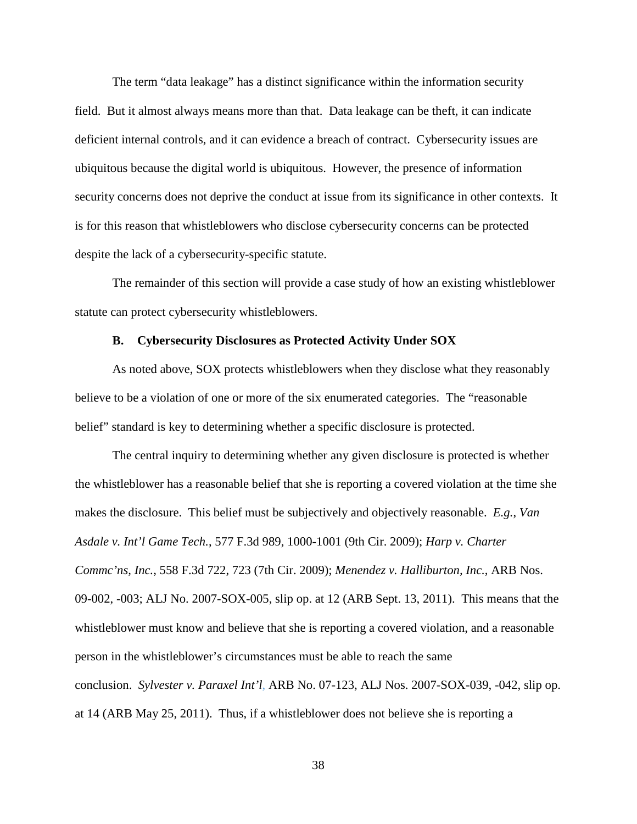The term "data leakage" has a distinct significance within the information security field. But it almost always means more than that. Data leakage can be theft, it can indicate deficient internal controls, and it can evidence a breach of contract. Cybersecurity issues are ubiquitous because the digital world is ubiquitous. However, the presence of information security concerns does not deprive the conduct at issue from its significance in other contexts. It is for this reason that whistleblowers who disclose cybersecurity concerns can be protected despite the lack of a cybersecurity-specific statute.

The remainder of this section will provide a case study of how an existing whistleblower statute can protect cybersecurity whistleblowers.

#### **B. Cybersecurity Disclosures as Protected Activity Under SOX**

As noted above, SOX protects whistleblowers when they disclose what they reasonably believe to be a violation of one or more of the six enumerated categories. The "reasonable belief" standard is key to determining whether a specific disclosure is protected.

The central inquiry to determining whether any given disclosure is protected is whether the whistleblower has a reasonable belief that she is reporting a covered violation at the time she makes the disclosure. This belief must be subjectively and objectively reasonable. *E.g.*, *Van Asdale v. Int'l Game Tech.*, 577 F.3d 989, 1000-1001 (9th Cir. 2009); *Harp v. Charter Commc'ns, Inc.*, 558 F.3d 722, 723 (7th Cir. 2009); *Menendez v. Halliburton, Inc.*, ARB Nos. 09-002, -003; ALJ No. 2007-SOX-005, slip op. at 12 (ARB Sept. 13, 2011). This means that the whistleblower must know and believe that she is reporting a covered violation, and a reasonable person in the whistleblower's circumstances must be able to reach the same conclusion. *Sylvester v. Paraxel Int'l*, ARB No. 07-123, ALJ Nos. 2007-SOX-039, -042, slip op. at 14 (ARB May 25, 2011). Thus, if a whistleblower does not believe she is reporting a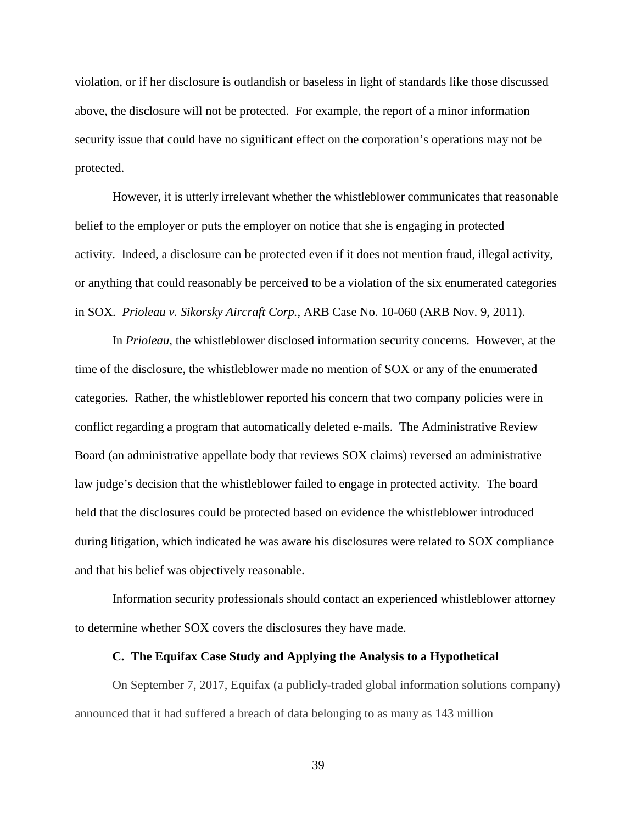violation, or if her disclosure is outlandish or baseless in light of standards like those discussed above, the disclosure will not be protected. For example, the report of a minor information security issue that could have no significant effect on the corporation's operations may not be protected.

However, it is utterly irrelevant whether the whistleblower communicates that reasonable belief to the employer or puts the employer on notice that she is engaging in protected activity. Indeed, a disclosure can be protected even if it does not mention fraud, illegal activity, or anything that could reasonably be perceived to be a violation of the six enumerated categories in SOX. *Prioleau v. Sikorsky Aircraft Corp.*, ARB Case No. 10-060 (ARB Nov. 9, 2011).

In *Prioleau*, the whistleblower disclosed information security concerns. However, at the time of the disclosure, the whistleblower made no mention of SOX or any of the enumerated categories. Rather, the whistleblower reported his concern that two company policies were in conflict regarding a program that automatically deleted e-mails. The Administrative Review Board (an administrative appellate body that reviews SOX claims) reversed an administrative law judge's decision that the whistleblower failed to engage in protected activity. The board held that the disclosures could be protected based on evidence the whistleblower introduced during litigation, which indicated he was aware his disclosures were related to SOX compliance and that his belief was objectively reasonable.

Information security professionals should contact an experienced whistleblower attorney to determine whether SOX covers the disclosures they have made.

#### **C. The Equifax Case Study and Applying the Analysis to a Hypothetical**

On September 7, 2017, Equifax (a publicly-traded global information solutions company) announced that it had suffered a breach of data belonging to as many as 143 million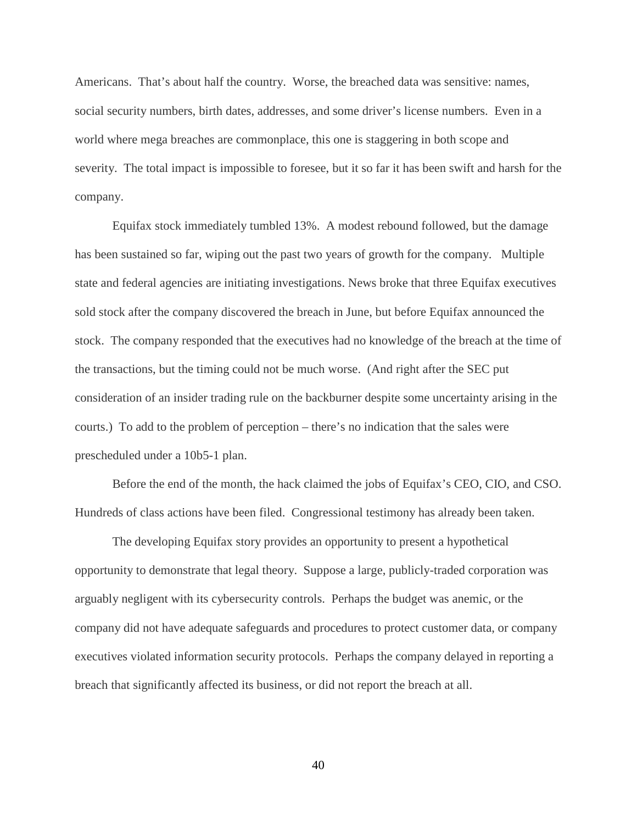Americans. That's about half the country. Worse, the breached data was sensitive: names, social security numbers, birth dates, addresses, and some driver's license numbers. Even in a world where mega breaches are commonplace, this one is staggering in both scope and severity. The total impact is impossible to foresee, but it so far it has been swift and harsh for the company.

Equifax stock immediately tumbled 13%. A modest rebound followed, but the damage has been sustained so far, wiping out the past two years of growth for the company. Multiple state and federal agencies are initiating investigations. News broke that three Equifax executives sold stock after the company discovered the breach in June, but before Equifax announced the stock. The company responded that the executives had no knowledge of the breach at the time of the transactions, but the timing could not be much worse. (And right after the SEC put consideration of an insider trading rule on the backburner despite some uncertainty arising in the courts.) To add to the problem of perception – there's no indication that the sales were prescheduled under a 10b5-1 plan.

Before the end of the month, the hack claimed the jobs of Equifax's CEO, CIO, and CSO. Hundreds of class actions have been filed. Congressional testimony has already been taken.

The developing Equifax story provides an opportunity to present a hypothetical opportunity to demonstrate that legal theory. Suppose a large, publicly-traded corporation was arguably negligent with its cybersecurity controls. Perhaps the budget was anemic, or the company did not have adequate safeguards and procedures to protect customer data, or company executives violated information security protocols. Perhaps the company delayed in reporting a breach that significantly affected its business, or did not report the breach at all.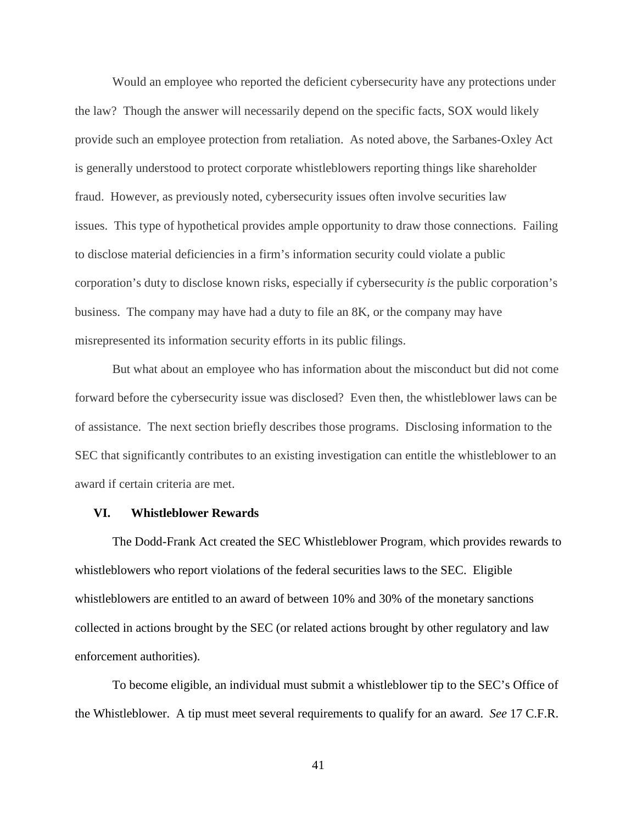Would an employee who reported the deficient cybersecurity have any protections under the law? Though the answer will necessarily depend on the specific facts, SOX would likely provide such an employee protection from retaliation. As noted above, the Sarbanes-Oxley Act is generally understood to protect corporate whistleblowers reporting things like shareholder fraud. However, as previously noted, cybersecurity issues often involve securities law issues. This type of hypothetical provides ample opportunity to draw those connections. Failing to disclose material deficiencies in a firm's information security could violate a public corporation's duty to disclose known risks, especially if cybersecurity *is* the public corporation's business. The company may have had a duty to file an 8K, or the company may have misrepresented its information security efforts in its public filings.

But what about an employee who has information about the misconduct but did not come forward before the cybersecurity issue was disclosed? Even then, the whistleblower laws can be of assistance. The next section briefly describes those programs. Disclosing information to the SEC that significantly contributes to an existing investigation can entitle the whistleblower to an award if certain criteria are met.

#### **VI. Whistleblower Rewards**

The Dodd-Frank Act created the SEC Whistleblower Program, which provides rewards to whistleblowers who report violations of the federal securities laws to the SEC. Eligible whistleblowers are entitled to an award of between 10% and 30% of the monetary sanctions collected in actions brought by the SEC (or related actions brought by other regulatory and law enforcement authorities).

To become eligible, an individual must submit a whistleblower tip to the SEC's Office of the Whistleblower. A tip must meet several requirements to qualify for an award. *See* 17 C.F.R.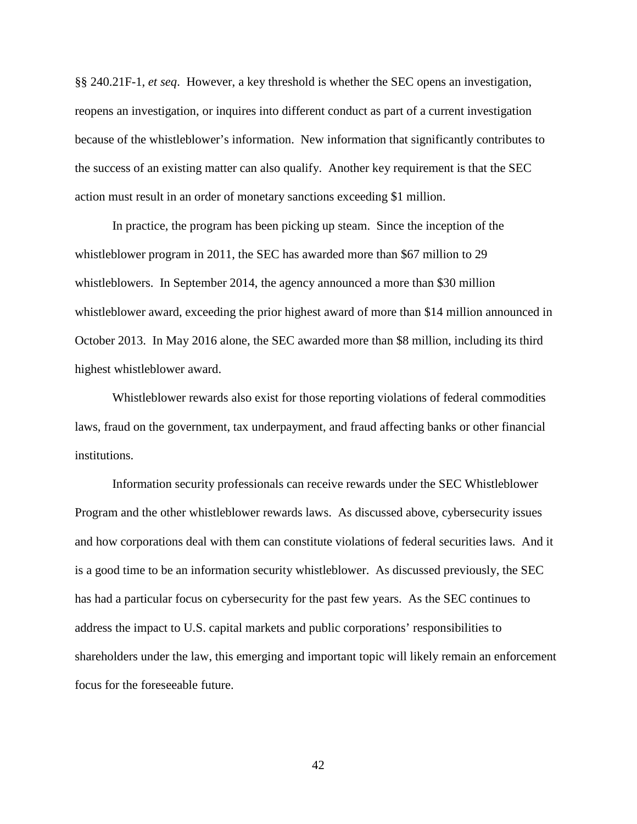§§ 240.21F-1, *et seq*. However, a key threshold is whether the SEC opens an investigation, reopens an investigation, or inquires into different conduct as part of a current investigation because of the whistleblower's information. New information that significantly contributes to the success of an existing matter can also qualify. Another key requirement is that the SEC action must result in an order of monetary sanctions exceeding \$1 million.

In practice, the program has been picking up steam. Since the inception of the whistleblower program in 2011, the SEC has awarded more than \$67 million to 29 whistleblowers. In September 2014, the agency announced a more than \$30 million whistleblower award, exceeding the prior highest award of more than \$14 million announced in October 2013. In May 2016 alone, the SEC awarded more than \$8 million, including its third highest whistleblower award.

Whistleblower rewards also exist for those reporting violations of federal commodities laws, fraud on the government, tax underpayment, and fraud affecting banks or other financial institutions.

Information security professionals can receive rewards under the SEC Whistleblower Program and the other whistleblower rewards laws. As discussed above, cybersecurity issues and how corporations deal with them can constitute violations of federal securities laws. And it is a good time to be an information security whistleblower. As discussed previously, the SEC has had a particular focus on cybersecurity for the past few years. As the SEC continues to address the impact to U.S. capital markets and public corporations' responsibilities to shareholders under the law, this emerging and important topic will likely remain an enforcement focus for the foreseeable future.